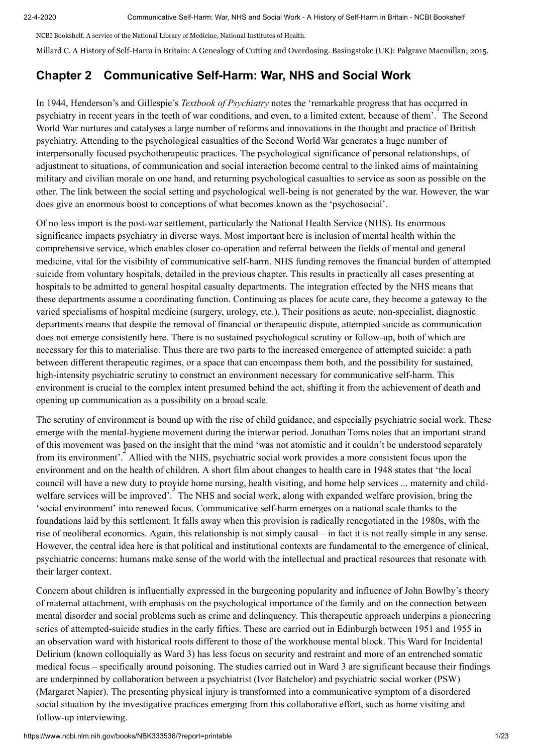NCBI Bookshelf. A service of the National Library of Medicine, National Institutes of Health.

Millard C. A History of Self-Harm in Britain: A Genealogy of Cutting and Overdosing. Basingstoke (UK): Palgrave Macmillan; 2015.

## **Chapter 2 Communicative Self-Harm: War, NHS and Social Work**

In 1944, Henderson's and Gillespie's *Textbook of Psychiatry* notes the 'remarkable progress that has occurred in 1 psychiatry in recent years in the teeth of war conditions, and even, to a limited extent, because of them'. The Second World War nurtures and catalyses a large number of reforms and innovations in the thought and practice of British psychiatry. Attending to the psychological casualties of the Second World War generates a huge number of interpersonally focused psychotherapeutic practices. The psychological significance of personal relationships, of adjustment to situations, of communication and social interaction become central to the linked aims of maintaining military and civilian morale on one hand, and returning psychological casualties to service as soon as possible on the other. The link between the social setting and psychological well-being is not generated by the war. However, the war does give an enormous boost to conceptions of what becomes known as the 'psychosocial'.

Of no less import is the post-war settlement, particularly the National Health Service (NHS). Its enormous significance impacts psychiatry in diverse ways. Most important here is inclusion of mental health within the comprehensive service, which enables closer co-operation and referral between the fields of mental and general medicine, vital for the visibility of communicative self-harm. NHS funding removes the financial burden of attempted suicide from voluntary hospitals, detailed in the previous chapter. This results in practically all cases presenting at hospitals to be admitted to general hospital casualty departments. The integration effected by the NHS means that these departments assume a coordinating function. Continuing as places for acute care, they become a gateway to the varied specialisms of hospital medicine (surgery, urology, etc.). Their positions as acute, non-specialist, diagnostic departments means that despite the removal of financial or therapeutic dispute, attempted suicide as communication does not emerge consistently here. There is no sustained psychological scrutiny or follow-up, both of which are necessary for this to materialise. Thus there are two parts to the increased emergence of attempted suicide: a path between different therapeutic regimes, or a space that can encompass them both, and the possibility for sustained, high-intensity psychiatric scrutiny to construct an environment necessary for communicative self-harm. This environment is crucial to the complex intent presumed behind the act, shifting it from the achievement of death and opening up communication as a possibility on a broad scale.

The scrutiny of environment is bound up with the rise of child guidance, and especially psychiatric social work. These emerge with the mental-hygiene movement during the interwar period. Jonathan Toms notes that an important strand of this movement was based on the insight that the mind 'was not atomistic and it couldn't be understood separately from its environment'. Allied with the NHS, psychiatric social work provides a more consistent focus upon the environment and on the health of children. A short film about changes to health care in 1948 states that 'the local council will have a new duty to proyide home nursing, health visiting, and home help services ... maternity and childwelfare services will be improved'. The NHS and social work, along with expanded welfare provision, bring the 'social environment' into renewed focus. Communicative self-harm emerges on a national scale thanks to the foundations laid by this settlement. It falls away when this provision is radically renegotiated in the 1980s, with the rise of neoliberal economics. Again, this relationship is not simply causal – in fact it is not really simple in any sense. However, the central idea here is that political and institutional contexts are fundamental to the emergence of clinical, psychiatric concerns: humans make sense of the world with the intellectual and practical resources that resonate with their larger context.

Concern about children is influentially expressed in the burgeoning popularity and influence of John Bowlby's theory of maternal attachment, with emphasis on the psychological importance of the family and on the connection between mental disorder and social problems such as crime and delinquency. This therapeutic approach underpins a pioneering series of attempted-suicide studies in the early fifties. These are carried out in Edinburgh between 1951 and 1955 in an observation ward with historical roots different to those of the workhouse mental block. This Ward for Incidental Delirium (known colloquially as Ward 3) has less focus on security and restraint and more of an entrenched somatic medical focus – specifically around poisoning. The studies carried out in Ward 3 are significant because their findings are underpinned by collaboration between a psychiatrist (Ivor Batchelor) and psychiatric social worker (PSW) (Margaret Napier). The presenting physical injury is transformed into a communicative symptom of a disordered social situation by the investigative practices emerging from this collaborative effort, such as home visiting and follow-up interviewing.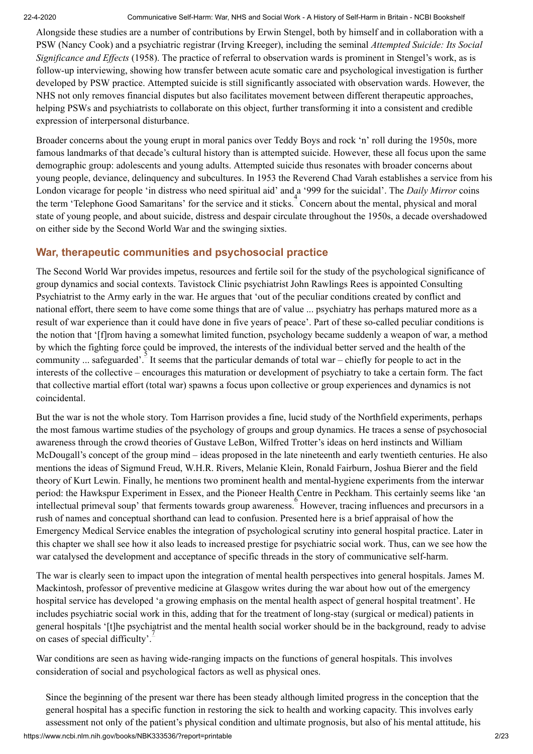Alongside these studies are a number of contributions by Erwin Stengel, both by himself and in collaboration with a PSW (Nancy Cook) and a psychiatric registrar (Irving Kreeger), including the seminal *Attempted Suicide: Its Social Significance and Effects* (1958). The practice of referral to observation wards is prominent in Stengel's work, as is follow-up interviewing, showing how transfer between acute somatic care and psychological investigation is further developed by PSW practice. Attempted suicide is still significantly associated with observation wards. However, the NHS not only removes financial disputes but also facilitates movement between different therapeutic approaches, helping PSWs and psychiatrists to collaborate on this object, further transforming it into a consistent and credible expression of interpersonal disturbance.

Broader concerns about the young erupt in moral panics over Teddy Boys and rock 'n' roll during the 1950s, more famous landmarks of that decade's cultural history than is attempted suicide. However, these all focus upon the same demographic group: adolescents and young adults. Attempted suicide thus resonates with broader concerns about young people, deviance, delinquency and subcultures. In 1953 the Reverend Chad Varah establishes a service from his London vicarage for people 'in distress who need spiritual aid' and a '999 for the suicidal'. The *Daily Mirror* coins the term 'Telephone Good Samaritans' for the service and it sticks. Concern about the mental, physical and moral state of young people, and about suicide, distress and despair circulate throughout the 1950s, a decade overshadowed on either side by the Second World War and the swinging sixties.

## **War, therapeutic communities and psychosocial practice**

The Second World War provides impetus, resources and fertile soil for the study of the psychological significance of group dynamics and social contexts. Tavistock Clinic psychiatrist John Rawlings Rees is appointed Consulting Psychiatrist to the Army early in the war. He argues that 'out of the peculiar conditions created by conflict and national effort, there seem to have come some things that are of value ... psychiatry has perhaps matured more as a result of war experience than it could have done in five years of peace'. Part of these so-called peculiar conditions is the notion that '[f]rom having a somewhat limited function, psychology became suddenly a weapon of war, a method by which the fighting force could be improved, the interests of the individual better served and the health of the community ... safeguarded<sup>5</sup>. It seems that the particular demands of total war – chiefly for people to act in the interests of the collective – encourages this maturation or development of psychiatry to take a certain form. The fact that collective martial effort (total war) spawns a focus upon collective or group experiences and dynamics is not coincidental.

But the war is not the whole story. Tom Harrison provides a fine, lucid study of the Northfield experiments, perhaps the most famous wartime studies of the psychology of groups and group dynamics. He traces a sense of psychosocial awareness through the crowd theories of Gustave LeBon, Wilfred Trotter's ideas on herd instincts and William McDougall's concept of the group mind – ideas proposed in the late nineteenth and early twentieth centuries. He also mentions the ideas of Sigmund Freud, W.H.R. Rivers, Melanie Klein, Ronald Fairburn, Joshua Bierer and the field theory of Kurt Lewin. Finally, he mentions two prominent health and mental-hygiene experiments from the interwar period: the Hawkspur Experiment in Essex, and the Pioneer Health Centre in Peckham. This certainly seems like 'an intellectual primeval soup' that ferments towards group awareness. However, tracing influences and precursors in a rush of names and conceptual shorthand can lead to confusion. Presented here is a brief appraisal of how the Emergency Medical Service enables the integration of psychological scrutiny into general hospital practice. Later in this chapter we shall see how it also leads to increased prestige for psychiatric social work. Thus, can we see how the war catalysed the development and acceptance of specific threads in the story of communicative self-harm.

The war is clearly seen to impact upon the integration of mental health perspectives into general hospitals. James M. Mackintosh, professor of preventive medicine at Glasgow writes during the war about how out of the emergency hospital service has developed 'a growing emphasis on the mental health aspect of general hospital treatment'. He includes psychiatric social work in this, adding that for the treatment of long-stay (surgical or medical) patients in general hospitals '[t]he psychiatrist and the mental health social worker should be in the background, ready to advise on cases of special difficulty'.

War conditions are seen as having wide-ranging impacts on the functions of general hospitals. This involves consideration of social and psychological factors as well as physical ones.

https://www.ncbi.nlm.nih.gov/books/NBK333536/?report=printable 2/23 Since the beginning of the present war there has been steady although limited progress in the conception that the general hospital has a specific function in restoring the sick to health and working capacity. This involves early assessment not only of the patient's physical condition and ultimate prognosis, but also of his mental attitude, his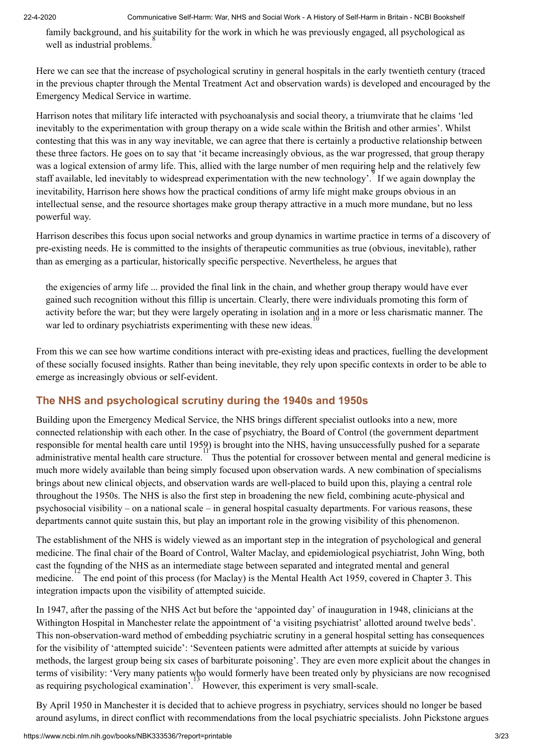family background, and his suitability for the work in which he was previously engaged, all psychological as well as industrial problems.

Here we can see that the increase of psychological scrutiny in general hospitals in the early twentieth century (traced in the previous chapter through the Mental Treatment Act and observation wards) is developed and encouraged by the Emergency Medical Service in wartime.

Harrison notes that military life interacted with psychoanalysis and social theory, a triumvirate that he claims 'led inevitably to the experimentation with group therapy on a wide scale within the British and other armies'. Whilst contesting that this was in any way inevitable, we can agree that there is certainly a productive relationship between these three factors. He goes on to say that 'it became increasingly obvious, as the war progressed, that group therapy was a logical extension of army life. This, allied with the large number of men requiring help and the relatively few staff available, led inevitably to widespread experimentation with the new technology'. If we again downplay the inevitability, Harrison here shows how the practical conditions of army life might make groups obvious in an intellectual sense, and the resource shortages make group therapy attractive in a much more mundane, but no less powerful way.

Harrison describes this focus upon social networks and group dynamics in wartime practice in terms of a discovery of pre-existing needs. He is committed to the insights of therapeutic communities as true (obvious, inevitable), rather than as emerging as a particular, historically specific perspective. Nevertheless, he argues that

the exigencies of army life ... provided the final link in the chain, and whether group therapy would have ever gained such recognition without this fillip is uncertain. Clearly, there were individuals promoting this form of activity before the war; but they were largely operating in isolation and in a more or less charismatic manner. The war led to ordinary psychiatrists experimenting with these new ideas.

From this we can see how wartime conditions interact with pre-existing ideas and practices, fuelling the development of these socially focused insights. Rather than being inevitable, they rely upon specific contexts in order to be able to emerge as increasingly obvious or self-evident.

# **The NHS and psychological scrutiny during the 1940s and 1950s**

Building upon the Emergency Medical Service, the NHS brings different specialist outlooks into a new, more connected relationship with each other. In the case of psychiatry, the Board of Control (the government department responsible for mental health care until 1959) is brought into the NHS, having unsuccessfully pushed for a separate administrative mental health care structure. Thus the potential for crossover between mental and general medicine is much more widely available than being simply focused upon observation wards. A new combination of specialisms brings about new clinical objects, and observation wards are well-placed to build upon this, playing a central role throughout the 1950s. The NHS is also the first step in broadening the new field, combining acute-physical and psychosocial visibility – on a national scale – in general hospital casualty departments. For various reasons, these departments cannot quite sustain this, but play an important role in the growing visibility of this phenomenon.

The establishment of the NHS is widely viewed as an important step in the integration of psychological and general medicine. The final chair of the Board of Control, Walter Maclay, and epidemiological psychiatrist, John Wing, both cast the founding of the NHS as an intermediate stage between separated and integrated mental and general 12 medicine. The end point of this process (for Maclay) is the Mental Health Act 1959, covered in [Chapter](https://www.ncbi.nlm.nih.gov/books/n/wt605801/wt605801_ch3/) 3. This integration impacts upon the visibility of attempted suicide.

In 1947, after the passing of the NHS Act but before the 'appointed day' of inauguration in 1948, clinicians at the Withington Hospital in Manchester relate the appointment of 'a visiting psychiatrist' allotted around twelve beds'. This non-observation-ward method of embedding psychiatric scrutiny in a general hospital setting has consequences for the visibility of 'attempted suicide': 'Seventeen patients were admitted after attempts at suicide by various methods, the largest group being six cases of barbiturate poisoning'. They are even more explicit about the changes in terms of visibility: 'Very many patients who would formerly have been treated only by physicians are now recognised as requiring psychological examination'. However, this experiment is very small-scale.

By April 1950 in Manchester it is decided that to achieve progress in psychiatry, services should no longer be based around asylums, in direct conflict with recommendations from the local psychiatric specialists. John Pickstone argues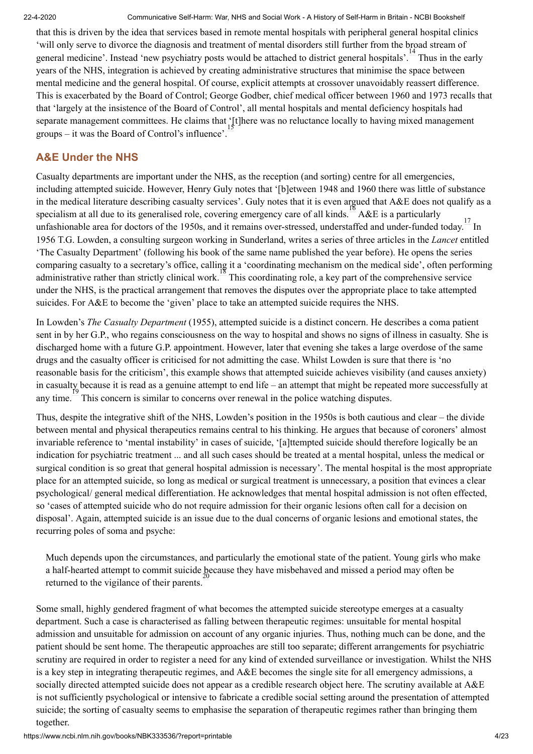that this is driven by the idea that services based in remote mental hospitals with peripheral general hospital clinics 'will only serve to divorce the diagnosis and treatment of mental disorders still further from the broad stream of general medicine'. Instead 'new psychiatry posts would be attached to district general hospitals'.<sup><sup>14</sup> Thus in the early</sup> years of the NHS, integration is achieved by creating administrative structures that minimise the space between mental medicine and the general hospital. Of course, explicit attempts at crossover unavoidably reassert difference. This is exacerbated by the Board of Control; George Godber, chief medical officer between 1960 and 1973 recalls that that 'largely at the insistence of the Board of Control', all mental hospitals and mental deficiency hospitals had separate management committees. He claims that '[t]here was no reluctance locally to having mixed management groups – it was the Board of Control's influence'.

## **A&E Under the NHS**

Casualty departments are important under the NHS, as the reception (and sorting) centre for all emergencies, including attempted suicide. However, Henry Guly notes that '[b]etween 1948 and 1960 there was little of substance in the medical literature describing casualty services'. Guly notes that it is even argued that A&E does not qualify as a specialism at all due to its generalised role, covering emergency care of all kinds. A&E is a particularly unfashionable area for doctors of the 1950s, and it remains over-stressed, understaffed and under-funded today.<sup>17</sup> In 1956 T.G. Lowden, a consulting surgeon working in Sunderland, writes a series of three articles in the *Lancet* entitled 'The Casualty Department' (following his book of the same name published the year before). He opens the series comparing casualty to a secretary's office, calling it a 'coordinating mechanism on the medical side', often performing administrative rather than strictly clinical work.  $\tilde{ }$  This coordinating role, a key part of the comprehensive service under the NHS, is the practical arrangement that removes the disputes over the appropriate place to take attempted suicides. For A&E to become the 'given' place to take an attempted suicide requires the NHS.

In Lowden's *The Casualty Department* (1955), attempted suicide is a distinct concern. He describes a coma patient sent in by her G.P., who regains consciousness on the way to hospital and shows no signs of illness in casualty. She is discharged home with a future G.P. appointment. However, later that evening she takes a large overdose of the same drugs and the casualty officer is criticised for not admitting the case. Whilst Lowden is sure that there is 'no reasonable basis for the criticism', this example shows that attempted suicide achieves visibility (and causes anxiety) in casualty because it is read as a genuine attempt to end life – an attempt that might be repeated more successfully at any time. This concern is similar to concerns over renewal in the police watching disputes.

Thus, despite the integrative shift of the NHS, Lowden's position in the 1950s is both cautious and clear – the divide between mental and physical therapeutics remains central to his thinking. He argues that because of coroners' almost invariable reference to 'mental instability' in cases of suicide, '[a]ttempted suicide should therefore logically be an indication for psychiatric treatment ... and all such cases should be treated at a mental hospital, unless the medical or surgical condition is so great that general hospital admission is necessary'. The mental hospital is the most appropriate place for an attempted suicide, so long as medical or surgical treatment is unnecessary, a position that evinces a clear psychological/ general medical differentiation. He acknowledges that mental hospital admission is not often effected, so 'cases of attempted suicide who do not require admission for their organic lesions often call for a decision on disposal'. Again, attempted suicide is an issue due to the dual concerns of organic lesions and emotional states, the recurring poles of soma and psyche:

Much depends upon the circumstances, and particularly the emotional state of the patient. Young girls who make a half-hearted attempt to commit suicide because they have misbehaved and missed a period may often be returned to the vigilance of their parents.

Some small, highly gendered fragment of what becomes the attempted suicide stereotype emerges at a casualty department. Such a case is characterised as falling between therapeutic regimes: unsuitable for mental hospital admission and unsuitable for admission on account of any organic injuries. Thus, nothing much can be done, and the patient should be sent home. The therapeutic approaches are still too separate; different arrangements for psychiatric scrutiny are required in order to register a need for any kind of extended surveillance or investigation. Whilst the NHS is a key step in integrating therapeutic regimes, and A&E becomes the single site for all emergency admissions, a socially directed attempted suicide does not appear as a credible research object here. The scrutiny available at A&E is not sufficiently psychological or intensive to fabricate a credible social setting around the presentation of attempted suicide; the sorting of casualty seems to emphasise the separation of therapeutic regimes rather than bringing them together.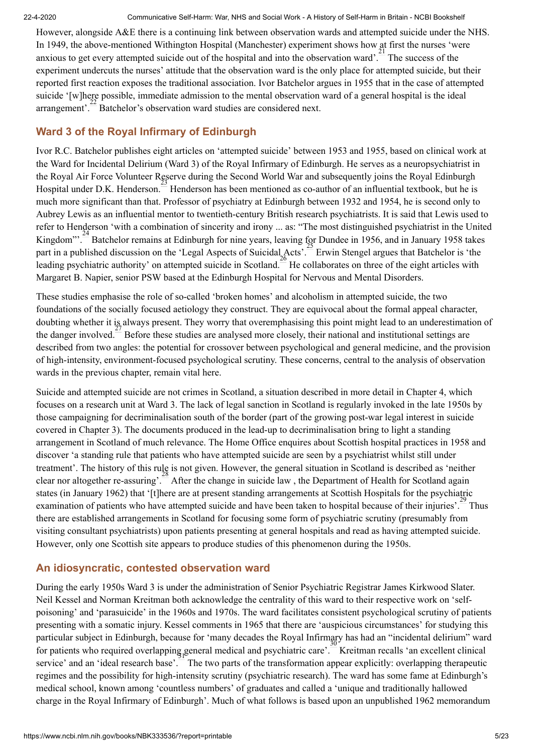However, alongside A&E there is a continuing link between observation wards and attempted suicide under the NHS. In 1949, the above-mentioned Withington Hospital (Manchester) experiment shows how at first the nurses 'were anxious to get every attempted suicide out of the hospital and into the observation ward'.<sup>21</sup> The success of the experiment undercuts the nurses' attitude that the observation ward is the only place for attempted suicide, but their reported first reaction exposes the traditional association. Ivor Batchelor argues in 1955 that in the case of attempted suicide '[w]here possible, immediate admission to the mental observation ward of a general hospital is the ideal  $\arctan$   $\frac{22}{2}$  Batchelor's observation ward studies are considered next.

# **Ward 3 of the Royal Infirmary of Edinburgh**

Ivor R.C. Batchelor publishes eight articles on 'attempted suicide' between 1953 and 1955, based on clinical work at the Ward for Incidental Delirium (Ward 3) of the Royal Infirmary of Edinburgh. He serves as a neuropsychiatrist in the Royal Air Force Volunteer Reserve during the Second World War and subsequently joins the Royal Edinburgh Hospital under D.K. Henderson. $\frac{1}{n}$  Henderson has been mentioned as co-author of an influential textbook, but he is much more significant than that. Professor of psychiatry at Edinburgh between 1932 and 1954, he is second only to Aubrey Lewis as an influential mentor to twentieth-century British research psychiatrists. It is said that Lewis used to refer to Henderson 'with a combination of sincerity and irony ... as: "The most distinguished psychiatrist in the United Kingdom"'. Batchelor remains at Edinburgh for nine years, leaving for Dundee in 1956, and in January 1958 takes 24 part in a published discussion on the 'Legal Aspects of Suicidal Acts'. Erwin Stengel argues that Batchelor is 'the leading psychiatric authority' on attempted suicide in Scotland. He collaborates on three of the eight articles with Margaret B. Napier, senior PSW based at the Edinburgh Hospital for Nervous and Mental Disorders.

These studies emphasise the role of so-called 'broken homes' and alcoholism in attempted suicide, the two foundations of the socially focused aetiology they construct. They are equivocal about the formal appeal character, doubting whether it is always present. They worry that overemphasising this point might lead to an underestimation of the danger involved. Before these studies are analysed more closely, their national and institutional settings are described from two angles: the potential for crossover between psychological and general medicine, and the provision of high-intensity, environment-focused psychological scrutiny. These concerns, central to the analysis of observation wards in the previous chapter, remain vital here.

Suicide and attempted suicide are not crimes in Scotland, a situation described in more detail in [Chapter](https://www.ncbi.nlm.nih.gov/books/n/wt605801/wt605801_ch4/) 4, which focuses on a research unit at Ward 3. The lack of legal sanction in Scotland is regularly invoked in the late 1950s by those campaigning for decriminalisation south of the border (part of the growing post-war legal interest in suicide covered in [Chapter](https://www.ncbi.nlm.nih.gov/books/n/wt605801/wt605801_ch3/) 3). The documents produced in the lead-up to decriminalisation bring to light a standing arrangement in Scotland of much relevance. The Home Office enquires about Scottish hospital practices in 1958 and discover 'a standing rule that patients who have attempted suicide are seen by a psychiatrist whilst still under treatment'. The history of this rule is not given. However, the general situation in Scotland is described as 'neither clear nor altogether re-assuring'.<sup>28</sup> After the change in suicide law, the Department of Health for Scotland again states (in January 1962) that '[t]here are at present standing arrangements at Scottish Hospitals for the psychiatric examination of patients who have attempted suicide and have been taken to hospital because of their injuries'.<sup>29</sup> Thus there are established arrangements in Scotland for focusing some form of psychiatric scrutiny (presumably from visiting consultant psychiatrists) upon patients presenting at general hospitals and read as having attempted suicide. However, only one Scottish site appears to produce studies of this phenomenon during the 1950s.

# **An idiosyncratic, contested observation ward**

During the early 1950s Ward 3 is under the administration of Senior Psychiatric Registrar James Kirkwood Slater. Neil Kessel and Norman Kreitman both acknowledge the centrality of this ward to their respective work on 'selfpoisoning' and 'parasuicide' in the 1960s and 1970s. The ward facilitates consistent psychological scrutiny of patients presenting with a somatic injury. Kessel comments in 1965 that there are 'auspicious circumstances' for studying this particular subject in Edinburgh, because for 'many decades the Royal Infirmary has had an "incidental delirium" ward 30 for patients who required overlapping general medical and psychiatric care'. Kreitman recalls 'an excellent clinical service' and an 'ideal research base'. The two parts of the transformation appear explicitly: overlapping therapeutic regimes and the possibility for high-intensity scrutiny (psychiatric research). The ward has some fame at Edinburgh's medical school, known among 'countless numbers' of graduates and called a 'unique and traditionally hallowed charge in the Royal Infirmary of Edinburgh'. Much of what follows is based upon an unpublished 1962 memorandum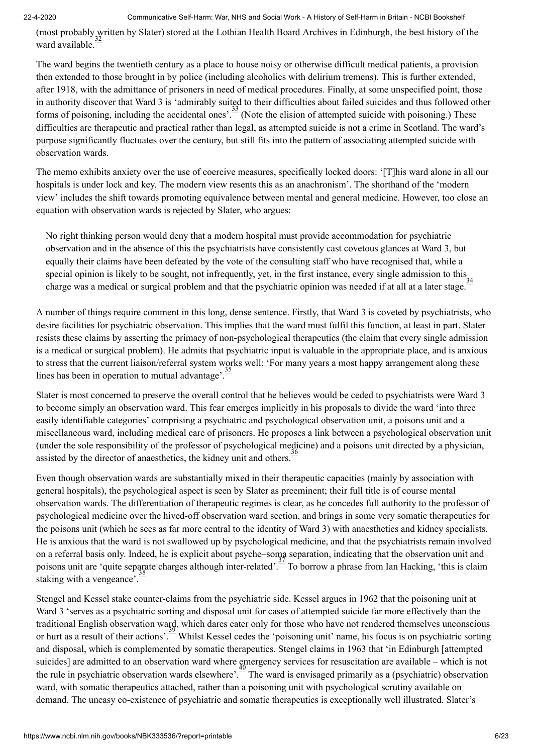(most probably written by Slater) stored at the Lothian Health Board Archives in Edinburgh, the best history of the 32 ward available.

The ward begins the twentieth century as a place to house noisy or otherwise difficult medical patients, a provision then extended to those brought in by police (including alcoholics with delirium tremens). This is further extended, after 1918, with the admittance of prisoners in need of medical procedures. Finally, at some unspecified point, those in authority discover that Ward 3 is 'admirably suited to their difficulties about failed suicides and thus followed other forms of poisoning, including the accidental ones'.<sup>33</sup> (Note the elision of attempted suicide with poisoning.) These difficulties are therapeutic and practical rather than legal, as attempted suicide is not a crime in Scotland. The ward's purpose significantly fluctuates over the century, but still fits into the pattern of associating attempted suicide with observation wards.

The memo exhibits anxiety over the use of coercive measures, specifically locked doors: '[T]his ward alone in all our hospitals is under lock and key. The modern view resents this as an anachronism'. The shorthand of the 'modern view' includes the shift towards promoting equivalence between mental and general medicine. However, too close an equation with observation wards is rejected by Slater, who argues:

No right thinking person would deny that a modern hospital must provide accommodation for psychiatric observation and in the absence of this the psychiatrists have consistently cast covetous glances at Ward 3, but equally their claims have been defeated by the vote of the consulting staff who have recognised that, while a special opinion is likely to be sought, not infrequently, yet, in the first instance, every single admission to this  $\frac{34}{34}$ charge was a medical or surgical problem and that the psychiatric opinion was needed if at all at a later stage.

A number of things require comment in this long, dense sentence. Firstly, that Ward 3 is coveted by psychiatrists, who desire facilities for psychiatric observation. This implies that the ward must fulfil this function, at least in part. Slater resists these claims by asserting the primacy of non-psychological therapeutics (the claim that every single admission is a medical or surgical problem). He admits that psychiatric input is valuable in the appropriate place, and is anxious to stress that the current liaison/referral system works well: 'For many years a most happy arrangement along these lines has been in operation to mutual advantage'. $\frac{3}{2}$ 

Slater is most concerned to preserve the overall control that he believes would be ceded to psychiatrists were Ward 3 to become simply an observation ward. This fear emerges implicitly in his proposals to divide the ward 'into three easily identifiable categories' comprising a psychiatric and psychological observation unit, a poisons unit and a miscellaneous ward, including medical care of prisoners. He proposes a link between a psychological observation unit (under the sole responsibility of the professor of psychological medicine) and a poisons unit directed by a physician, 36 assisted by the director of anaesthetics, the kidney unit and others.

Even though observation wards are substantially mixed in their therapeutic capacities (mainly by association with general hospitals), the psychological aspect is seen by Slater as preeminent; their full title is of course mental observation wards. The differentiation of therapeutic regimes is clear, as he concedes full authority to the professor of psychological medicine over the hived-off observation ward section, and brings in some very somatic therapeutics for the poisons unit (which he sees as far more central to the identity of Ward 3) with anaesthetics and kidney specialists. He is anxious that the ward is not swallowed up by psychological medicine, and that the psychiatrists remain involved on a referral basis only. Indeed, he is explicit about psyche–soma separation, indicating that the observation unit and 37 poisons unit are 'quite separate charges although inter-related'. To borrow a phrase from Ian Hacking, 'this is claim staking with a vengeance'.

Stengel and Kessel stake counter-claims from the psychiatric side. Kessel argues in 1962 that the poisoning unit at Ward 3 'serves as a psychiatric sorting and disposal unit for cases of attempted suicide far more effectively than the traditional English observation ward, which dares cater only for those who have not rendered themselves unconscious or hurt as a result of their actions'. Whilst Kessel cedes the 'poisoning unit' name, his focus is on psychiatric sorting and disposal, which is complemented by somatic therapeutics. Stengel claims in 1963 that 'in Edinburgh [attempted suicides] are admitted to an observation ward where emergency services for resuscitation are available – which is not the rule in psychiatric observation wards elsewhere'. The ward is envisaged primarily as a (psychiatric) observation ward, with somatic therapeutics attached, rather than a poisoning unit with psychological scrutiny available on demand. The uneasy co-existence of psychiatric and somatic therapeutics is exceptionally well illustrated. Slater's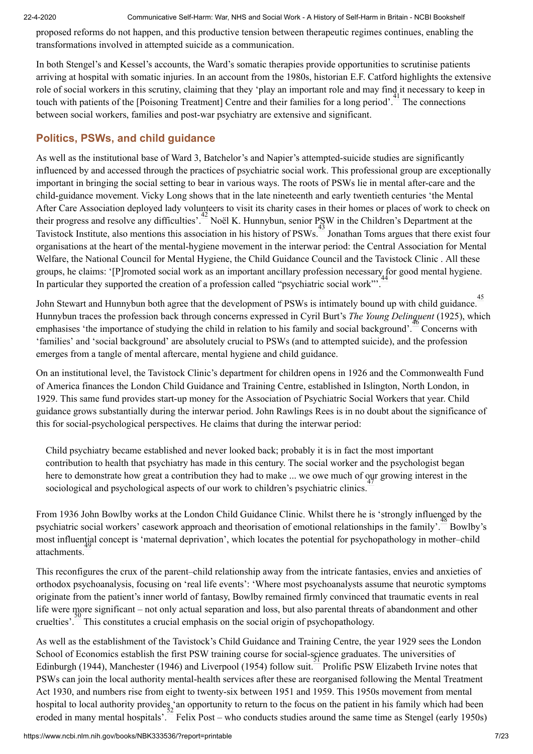proposed reforms do not happen, and this productive tension between therapeutic regimes continues, enabling the transformations involved in attempted suicide as a communication.

In both Stengel's and Kessel's accounts, the Ward's somatic therapies provide opportunities to scrutinise patients arriving at hospital with somatic injuries. In an account from the 1980s, historian E.F. Catford highlights the extensive role of social workers in this scrutiny, claiming that they 'play an important role and may find it necessary to keep in touch with patients of the [Poisoning Treatment] Centre and their families for a long period'.<sup>41</sup> The connections between social workers, families and post-war psychiatry are extensive and significant.

## **Politics, PSWs, and child guidance**

As well as the institutional base of Ward 3, Batchelor's and Napier's attempted-suicide studies are significantly influenced by and accessed through the practices of psychiatric social work. This professional group are exceptionally important in bringing the social setting to bear in various ways. The roots of PSWs lie in mental after-care and the child-guidance movement. Vicky Long shows that in the late nineteenth and early twentieth centuries 'the Mental After Care Association deployed lady volunteers to visit its charity cases in their homes or places of work to check on their progress and resolve any difficulties'.  $\frac{42}{\pi}$  Noël K. Hunnybun, senior PSW in the Children's Department at the Tavistock Institute, also mentions this association in his history of PSWs. Jonathan Toms argues that there exist four organisations at the heart of the mental-hygiene movement in the interwar period: the Central Association for Mental Welfare, the National Council for Mental Hygiene, the Child Guidance Council and the Tavistock Clinic . All these groups, he claims: '[P]romoted social work as an important ancillary profession necessary for good mental hygiene. 44 In particular they supported the creation of a profession called "psychiatric social work"'.

John Stewart and Hunnybun both agree that the development of PSWs is intimately bound up with child guidance.<sup>45</sup> Hunnybun traces the profession back through concerns expressed in Cyril Burt's *The Young Delinquent* (1925), which emphasises 'the importance of studying the child in relation to his family and social background'. Concerns with 'families' and 'social background' are absolutely crucial to PSWs (and to attempted suicide), and the profession emerges from a tangle of mental aftercare, mental hygiene and child guidance.

On an institutional level, the Tavistock Clinic's department for children opens in 1926 and the Commonwealth Fund of America finances the London Child Guidance and Training Centre, established in Islington, North London, in 1929. This same fund provides start-up money for the Association of Psychiatric Social Workers that year. Child guidance grows substantially during the interwar period. John Rawlings Rees is in no doubt about the significance of this for social-psychological perspectives. He claims that during the interwar period:

Child psychiatry became established and never looked back; probably it is in fact the most important contribution to health that psychiatry has made in this century. The social worker and the psychologist began here to demonstrate how great a contribution they had to make ... we owe much of  $\frac{1}{47}$  growing interest in the sociological and psychological aspects of our work to children's psychiatric clinics.

From 1936 John Bowlby works at the London Child Guidance Clinic. Whilst there he is 'strongly influenced by the psychiatric social workers' casework approach and theorisation of emotional relationships in the family'.<sup>48</sup>Bowlby's most influential concept is 'maternal deprivation', which locates the potential for psychopathology in mother–child attachments.

This reconfigures the crux of the parent–child relationship away from the intricate fantasies, envies and anxieties of orthodox psychoanalysis, focusing on 'real life events': 'Where most psychoanalysts assume that neurotic symptoms originate from the patient's inner world of fantasy, Bowlby remained firmly convinced that traumatic events in real life were more significant – not only actual separation and loss, but also parental threats of abandonment and other cruelties'. $\tilde{f}$  This constitutes a crucial emphasis on the social origin of psychopathology.

As well as the establishment of the Tavistock's Child Guidance and Training Centre, the year 1929 sees the London School of Economics establish the first PSW training course for social-science graduates. The universities of Edinburgh (1944), Manchester (1946) and Liverpool (1954) follow suit. Prolific PSW Elizabeth Irvine notes that PSWs can join the local authority mental-health services after these are reorganised following the Mental Treatment Act 1930, and numbers rise from eight to twenty-six between 1951 and 1959. This 1950s movement from mental hospital to local authority provides 'an opportunity to return to the focus on the patient in his family which had been eroded in many mental hospitals'. Felix Post – who conducts studies around the same time as Stengel (early 1950s)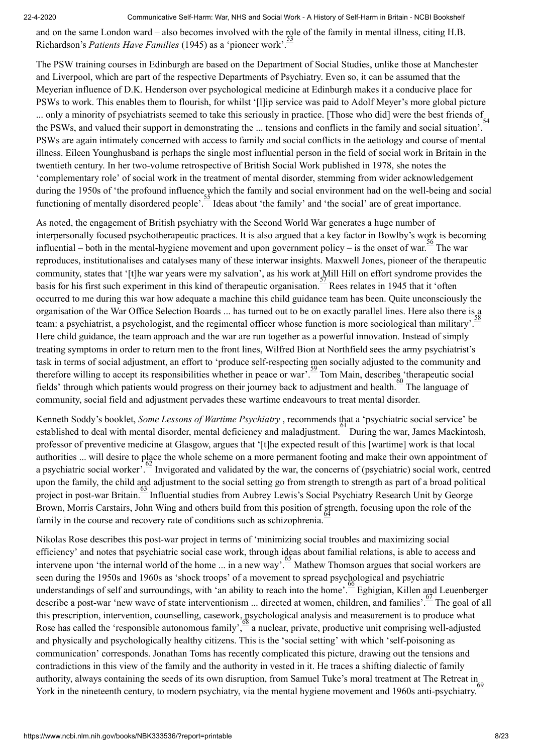and on the same London ward – also becomes involved with the role of the family in mental illness, citing H.B. Richardson's *Patients Have Families* (1945) as a 'pioneer work'.

The PSW training courses in Edinburgh are based on the Department of Social Studies, unlike those at Manchester and Liverpool, which are part of the respective Departments of Psychiatry. Even so, it can be assumed that the Meyerian influence of D.K. Henderson over psychological medicine at Edinburgh makes it a conducive place for PSWs to work. This enables them to flourish, for whilst '[l]ip service was paid to Adolf Meyer's more global picture ... only a minority of psychiatrists seemed to take this seriously in practice. [Those who did] were the best friends of  $\frac{54}{100}$ the PSWs, and valued their support in demonstrating the ... tensions and conflicts in the family and social situation'. PSWs are again intimately concerned with access to family and social conflicts in the aetiology and course of mental illness. Eileen Younghusband is perhaps the single most influential person in the field of social work in Britain in the twentieth century. In her two-volume retrospective of British Social Work published in 1978, she notes the 'complementary role' of social work in the treatment of mental disorder, stemming from wider acknowledgement during the 1950s of 'the profound influence which the family and social environment had on the well-being and social functioning of mentally disordered people'.<sup>55</sup> Ideas about 'the family' and 'the social' are of great importance.

As noted, the engagement of British psychiatry with the Second World War generates a huge number of interpersonally focused psychotherapeutic practices. It is also argued that a key factor in Bowlby's work is becoming influential – both in the mental-hygiene movement and upon government policy – is the onset of war. The war reproduces, institutionalises and catalyses many of these interwar insights. Maxwell Jones, pioneer of the therapeutic community, states that '[t]he war years were my salvation', as his work at Mill Hill on effort syndrome provides the basis for his first such experiment in this kind of therapeutic organisation. Rees relates in 1945 that it 'often occurred to me during this war how adequate a machine this child guidance team has been. Quite unconsciously the organisation of the War Office Selection Boards ... has turned out to be on exactly parallel lines. Here also there is a 58 team: a psychiatrist, a psychologist, and the regimental officer whose function is more sociological than military'. Here child guidance, the team approach and the war are run together as a powerful innovation. Instead of simply treating symptoms in order to return men to the front lines, Wilfred Bion at Northfield sees the army psychiatrist's task in terms of social adjustment, an effort to 'produce self-respecting men socially adjusted to the community and therefore willing to accept its responsibilities whether in peace or war'.  $\frac{1}{n}$  Tom Main, describes 'therapeutic social fields' through which patients would progress on their journey back to adjustment and health.<sup>60</sup> The language of community, social field and adjustment pervades these wartime endeavours to treat mental disorder.

Kenneth Soddy's booklet, *Some Lessons of Wartime Psychiatry* , recommends that a 'psychiatric social service' be established to deal with mental disorder, mental deficiency and maladjustment. During the war, James Mackintosh, professor of preventive medicine at Glasgow, argues that '[t]he expected result of this [wartime] work is that local authorities ... will desire to place the whole scheme on a more permanent footing and make their own appointment of a psychiatric social worker'. Invigorated and validated by the war, the concerns of (psychiatric) social work, centred upon the family, the child and adjustment to the social setting go from strength to strength as part of a broad political project in post-war Britain.<sup>3</sup> Influential studies from Aubrey Lewis's Social Psychiatry Research Unit by George Brown, Morris Carstairs, John Wing and others build from this position of strength, focusing upon the role of the family in the course and recovery rate of conditions such as schizophrenia.

Nikolas Rose describes this post-war project in terms of 'minimizing social troubles and maximizing social efficiency' and notes that psychiatric social case work, through ideas about familial relations, is able to access and intervene upon 'the internal world of the home ... in a new way'. Mathew Thomson argues that social workers are seen during the 1950s and 1960s as 'shock troops' of a movement to spread psychological and psychiatric understandings of self and surroundings, with 'an ability to reach into the home'.<sup>66</sup> Eghigian, Killen and Leuenberger describe a post-war 'new wave of state interventionism ... directed at women, children, and families'. The goal of all this prescription, intervention, counselling, casework, psychological analysis and measurement is to produce what Rose has called the 'responsible autonomous family', a nuclear, private, productive unit comprising well-adjusted and physically and psychologically healthy citizens. This is the 'social setting' with which 'self-poisoning as communication' corresponds. Jonathan Toms has recently complicated this picture, drawing out the tensions and contradictions in this view of the family and the authority in vested in it. He traces a shifting dialectic of family authority, always containing the seeds of its own disruption, from Samuel Tuke's moral treatment at The Retreat in 69 York in the nineteenth century, to modern psychiatry, via the mental hygiene movement and 1960s anti-psychiatry.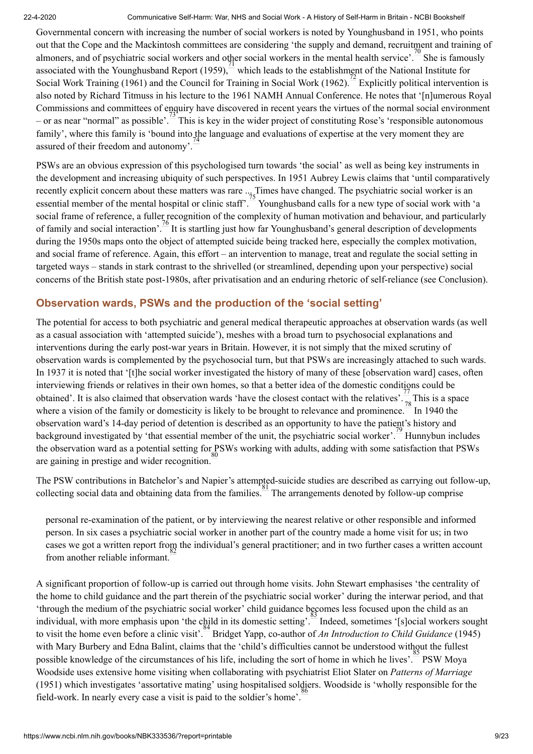Governmental concern with increasing the number of social workers is noted by Younghusband in 1951, who points out that the Cope and the Mackintosh committees are considering 'the supply and demand, recruitment and training of almoners, and of psychiatric social workers and other social workers in the mental health service'.<sup>70</sup> She is famously associated with the Younghusband Report  $(1959)$ , which leads to the establishment of the National Institute for Social Work Training (1961) and the Council for Training in Social Work (1962). Explicitly political intervention is also noted by Richard Titmuss in his lecture to the 1961 NAMH Annual Conference. He notes that '[n]umerous Royal Commissions and committees of enquiry have discovered in recent years the virtues of the normal social environment – or as near "normal" as possible'.<sup>73</sup> This is key in the wider project of constituting Rose's 'responsible autonomous family', where this family is 'bound into the language and evaluations of expertise at the very moment they are assured of their freedom and autonomy'. 71

PSWs are an obvious expression of this psychologised turn towards 'the social' as well as being key instruments in the development and increasing ubiquity of such perspectives. In 1951 Aubrey Lewis claims that 'until comparatively recently explicit concern about these matters was rare ... Times have changed. The psychiatric social worker is an essential member of the mental hospital or clinic staff'.<sup>75</sup> Younghusband calls for a new type of social work with 'a social frame of reference, a fuller recognition of the complexity of human motivation and behaviour, and particularly of family and social interaction<sup>, 76</sup> It is startling just how far Younghusband's general description of developments during the 1950s maps onto the object of attempted suicide being tracked here, especially the complex motivation, and social frame of reference. Again, this effort – an intervention to manage, treat and regulate the social setting in targeted ways – stands in stark contrast to the shrivelled (or streamlined, depending upon your perspective) social concerns of the British state post-1980s, after privatisation and an enduring rhetoric of self-reliance (see [Conclusion](https://www.ncbi.nlm.nih.gov/books/n/wt605801/wt605801_conc/)).

## **Observation wards, PSWs and the production of the 'social setting'**

The potential for access to both psychiatric and general medical therapeutic approaches at observation wards (as well as a casual association with 'attempted suicide'), meshes with a broad turn to psychosocial explanations and interventions during the early post-war years in Britain. However, it is not simply that the mixed scrutiny of observation wards is complemented by the psychosocial turn, but that PSWs are increasingly attached to such wards. In 1937 it is noted that '[t]he social worker investigated the history of many of these [observation ward] cases, often interviewing friends or relatives in their own homes, so that a better idea of the domestic conditions could be obtained'. It is also claimed that observation wards 'have the closest contact with the relatives'.<sup>77</sup> This is a space where a vision of the family or domesticity is likely to be brought to relevance and prominence.<sup>78</sup> In 1940 the observation ward's 14-day period of detention is described as an opportunity to have the patient's history and background investigated by 'that essential member of the unit, the psychiatric social worker'.<sup>79</sup> Hunnybun includes the observation ward as a potential setting for PSWs working with adults, adding with some satisfaction that PSWs are gaining in prestige and wider recognition.

The PSW contributions in Batchelor's and Napier's attempted-suicide studies are described as carrying out follow-up, collecting social data and obtaining data from the families. The arrangements denoted by follow-up comprise

personal re-examination of the patient, or by interviewing the nearest relative or other responsible and informed person. In six cases a psychiatric social worker in another part of the country made a home visit for us; in two cases we got a written report from the individual's general practitioner; and in two further cases a written account from another reliable informant.

A significant proportion of follow-up is carried out through home visits. John Stewart emphasises 'the centrality of the home to child guidance and the part therein of the psychiatric social worker' during the interwar period, and that 'through the medium of the psychiatric social worker' child guidance becomes less focused upon the child as an individual, with more emphasis upon 'the child in its domestic setting'. Indeed, sometimes '[s]ocial workers sought to visit the home even before a clinic visit'. Bridget Yapp, co-author of *An Introduction to Child Guidance* (1945) with Mary Burbery and Edna Balint, claims that the 'child's difficulties cannot be understood without the fullest possible knowledge of the circumstances of his life, including the sort of home in which he lives'. PSW Moya Woodside uses extensive home visiting when collaborating with psychiatrist Eliot Slater on *Patterns of Marriage* (1951) which investigates 'assortative mating' using hospitalised soldiers. Woodside is 'wholly responsible for the field-work. In nearly every case a visit is paid to the soldier's home'.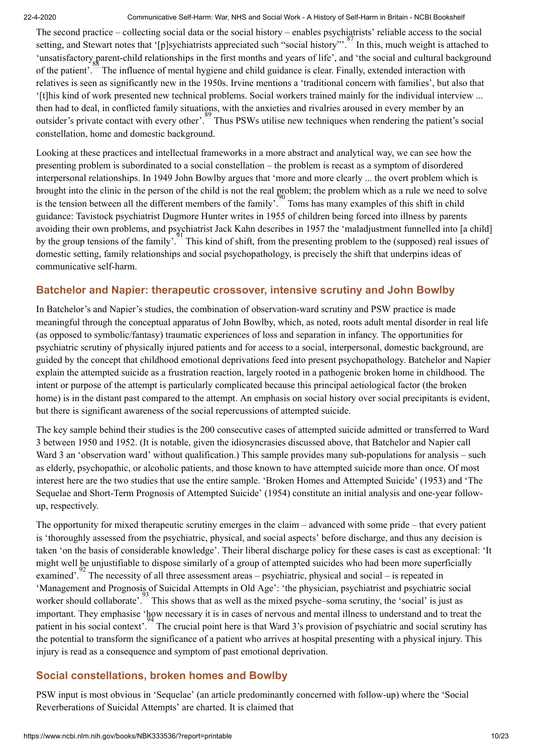The second practice – collecting social data or the social history – enables psychiatrists' reliable access to the social setting, and Stewart notes that '[p]sychiatrists appreciated such "social history". In this, much weight is attached to 'unsatisfactory parent-child relationships in the first months and years of life', and 'the social and cultural background of the patient'.<sup>88</sup> The influence of mental hygiene and child guidance is clear. Finally, extended interaction with relatives is seen as significantly new in the 1950s. Irvine mentions a 'traditional concern with families', but also that '[t]his kind of work presented new technical problems. Social workers trained mainly for the individual interview ... then had to deal, in conflicted family situations, with the anxieties and rivalries aroused in every member by an outsider's private contact with every other'.<sup>89</sup> Thus PSWs utilise new techniques when rendering the patient's social constellation, home and domestic background.

Looking at these practices and intellectual frameworks in a more abstract and analytical way, we can see how the presenting problem is subordinated to a social constellation – the problem is recast as a symptom of disordered interpersonal relationships. In 1949 John Bowlby argues that 'more and more clearly ... the overt problem which is brought into the clinic in the person of the child is not the real problem; the problem which as a rule we need to solve is the tension between all the different members of the family'. Toms has many examples of this shift in child guidance: Tavistock psychiatrist Dugmore Hunter writes in 1955 of children being forced into illness by parents avoiding their own problems, and psychiatrist Jack Kahn describes in 1957 the 'maladjustment funnelled into [a child] by the group tensions of the family'.<sup>This</sup> kind of shift, from the presenting problem to the (supposed) real issues of domestic setting, family relationships and social psychopathology, is precisely the shift that underpins ideas of communicative self-harm.

## **Batchelor and Napier: therapeutic crossover, intensive scrutiny and John Bowlby**

In Batchelor's and Napier's studies, the combination of observation-ward scrutiny and PSW practice is made meaningful through the conceptual apparatus of John Bowlby, which, as noted, roots adult mental disorder in real life (as opposed to symbolic/fantasy) traumatic experiences of loss and separation in infancy. The opportunities for psychiatric scrutiny of physically injured patients and for access to a social, interpersonal, domestic background, are guided by the concept that childhood emotional deprivations feed into present psychopathology. Batchelor and Napier explain the attempted suicide as a frustration reaction, largely rooted in a pathogenic broken home in childhood. The intent or purpose of the attempt is particularly complicated because this principal aetiological factor (the broken home) is in the distant past compared to the attempt. An emphasis on social history over social precipitants is evident, but there is significant awareness of the social repercussions of attempted suicide.

The key sample behind their studies is the 200 consecutive cases of attempted suicide admitted or transferred to Ward 3 between 1950 and 1952. (It is notable, given the idiosyncrasies discussed above, that Batchelor and Napier call Ward 3 an 'observation ward' without qualification.) This sample provides many sub-populations for analysis – such as elderly, psychopathic, or alcoholic patients, and those known to have attempted suicide more than once. Of most interest here are the two studies that use the entire sample. 'Broken Homes and Attempted Suicide' (1953) and 'The Sequelae and Short-Term Prognosis of Attempted Suicide' (1954) constitute an initial analysis and one-year followup, respectively.

The opportunity for mixed therapeutic scrutiny emerges in the claim – advanced with some pride – that every patient is 'thoroughly assessed from the psychiatric, physical, and social aspects' before discharge, and thus any decision is taken 'on the basis of considerable knowledge'. Their liberal discharge policy for these cases is cast as exceptional: 'It might well be unjustifiable to dispose similarly of a group of attempted suicides who had been more superficially  $\frac{1}{92}$  and  $\frac{1}{92}$  and  $\frac{1}{92}$  are the set of all three assessment areas – psychiatric, physical and social – is repeated in 'Management and Prognosis of Suicidal Attempts in Old Age': 'the physician, psychiatrist and psychiatric social worker should collaborate'. This shows that as well as the mixed psyche–soma scrutiny, the 'social' is just as important. They emphasise 'how necessary it is in cases of nervous and mental illness to understand and to treat the patient in his social context'.<sup>T</sup> The crucial point here is that Ward 3's provision of psychiatric and social scrutiny has the potential to transform the significance of a patient who arrives at hospital presenting with a physical injury. This injury is read as a consequence and symptom of past emotional deprivation.

## **Social constellations, broken homes and Bowlby**

PSW input is most obvious in 'Sequelae' (an article predominantly concerned with follow-up) where the 'Social Reverberations of Suicidal Attempts' are charted. It is claimed that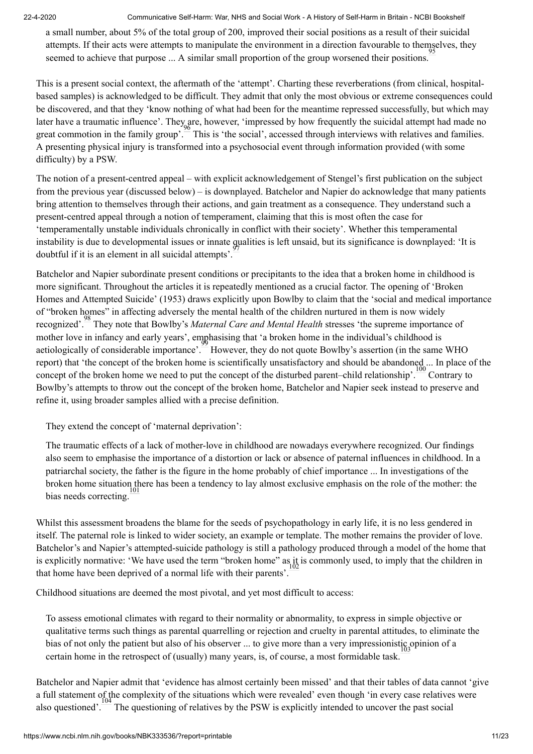a small number, about 5% of the total group of 200, improved their social positions as a result of their suicidal attempts. If their acts were attempts to manipulate the environment in a direction favourable to themselves, they seemed to achieve that purpose ... A similar small proportion of the group worsened their positions.

This is a present social context, the aftermath of the 'attempt'. Charting these reverberations (from clinical, hospitalbased samples) is acknowledged to be difficult. They admit that only the most obvious or extreme consequences could be discovered, and that they 'know nothing of what had been for the meantime repressed successfully, but which may later have a traumatic influence'. They are, however, 'impressed by how frequently the suicidal attempt had made no great commotion in the family group'. This is 'the social', accessed through interviews with relatives and families. A presenting physical injury is transformed into a psychosocial event through information provided (with some difficulty) by a PSW.

The notion of a present-centred appeal – with explicit acknowledgement of Stengel's first publication on the subject from the previous year (discussed below) – is downplayed. Batchelor and Napier do acknowledge that many patients bring attention to themselves through their actions, and gain treatment as a consequence. They understand such a present-centred appeal through a notion of temperament, claiming that this is most often the case for 'temperamentally unstable individuals chronically in conflict with their society'. Whether this temperamental instability is due to developmental issues or innate qualities is left unsaid, but its significance is downplayed: 'It is 97 doubtful if it is an element in all suicidal attempts'.

Batchelor and Napier subordinate present conditions or precipitants to the idea that a broken home in childhood is more significant. Throughout the articles it is repeatedly mentioned as a crucial factor. The opening of 'Broken Homes and Attempted Suicide' (1953) draws explicitly upon Bowlby to claim that the 'social and medical importance of "broken homes" in affecting adversely the mental health of the children nurtured in them is now widely recognized'. They note that Bowlby's *Maternal Care and Mental Health* stresses 'the supreme importance of 98 mother love in infancy and early years', emphasising that 'a broken home in the individual's childhood is aetiologically of considerable importance'. However, they do not quote Bowlby's assertion (in the same WHO report) that 'the concept of the broken home is scientifically unsatisfactory and should be abandoned ... In place of the concept of the broken home we need to put the concept of the disturbed parent–child relationship'.<sup>100</sup> Contrary to Bowlby's attempts to throw out the concept of the broken home, Batchelor and Napier seek instead to preserve and refine it, using broader samples allied with a precise definition.

They extend the concept of 'maternal deprivation':

The traumatic effects of a lack of mother-love in childhood are nowadays everywhere recognized. Our findings also seem to emphasise the importance of a distortion or lack or absence of paternal influences in childhood. In a patriarchal society, the father is the figure in the home probably of chief importance ... In investigations of the broken home situation there has been a tendency to lay almost exclusive emphasis on the role of the mother: the bias needs correcting.

Whilst this assessment broadens the blame for the seeds of psychopathology in early life, it is no less gendered in itself. The paternal role is linked to wider society, an example or template. The mother remains the provider of love. Batchelor's and Napier's attempted-suicide pathology is still a pathology produced through a model of the home that is explicitly normative: 'We have used the term "broken home" as it is commonly used, to imply that the children in that home have been deprived of a normal life with their parents'.

Childhood situations are deemed the most pivotal, and yet most difficult to access:

To assess emotional climates with regard to their normality or abnormality, to express in simple objective or qualitative terms such things as parental quarrelling or rejection and cruelty in parental attitudes, to eliminate the bias of not only the patient but also of his observer ... to give more than a very impressionistic opinion of a certain home in the retrospect of (usually) many years, is, of course, a most formidable task.

Batchelor and Napier admit that 'evidence has almost certainly been missed' and that their tables of data cannot 'give a full statement of the complexity of the situations which were revealed' even though 'in every case relatives were also questioned'. The questioning of relatives by the PSW is explicitly intended to uncover the past social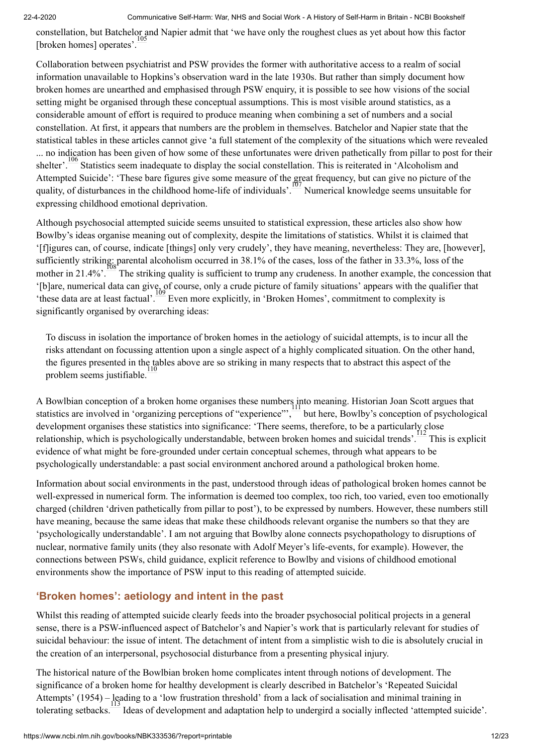constellation, but Batchelor and Napier admit that 'we have only the roughest clues as yet about how this factor 105 [broken homes] operates'.

Collaboration between psychiatrist and PSW provides the former with authoritative access to a realm of social information unavailable to Hopkins's observation ward in the late 1930s. But rather than simply document how broken homes are unearthed and emphasised through PSW enquiry, it is possible to see how visions of the social setting might be organised through these conceptual assumptions. This is most visible around statistics, as a considerable amount of effort is required to produce meaning when combining a set of numbers and a social constellation. At first, it appears that numbers are the problem in themselves. Batchelor and Napier state that the statistical tables in these articles cannot give 'a full statement of the complexity of the situations which were revealed ... no indication has been given of how some of these unfortunates were driven pathetically from pillar to post for their shelter'. Statistics seem inadequate to display the social constellation. This is reiterated in 'Alcoholism and Attempted Suicide': 'These bare figures give some measure of the great frequency, but can give no picture of the quality, of disturbances in the childhood home-life of individuals'.  $\frac{107}{100}$  Numerical knowledge seems unsuitable for expressing childhood emotional deprivation.

Although psychosocial attempted suicide seems unsuited to statistical expression, these articles also show how Bowlby's ideas organise meaning out of complexity, despite the limitations of statistics. Whilst it is claimed that '[f]igures can, of course, indicate [things] only very crudely', they have meaning, nevertheless: They are, [however], sufficiently striking: parental alcoholism occurred in 38.1% of the cases, loss of the father in 33.3%, loss of the mother in 21.4%'. The striking quality is sufficient to trump any crudeness. In another example, the concession that '[b]are, numerical data can give, of course, only a crude picture of family situations' appears with the qualifier that 'these data are at least factual'.<sup>107</sup> Even more explicitly, in 'Broken Homes', commitment to complexity is significantly organised by overarching ideas:

To discuss in isolation the importance of broken homes in the aetiology of suicidal attempts, is to incur all the risks attendant on focussing attention upon a single aspect of a highly complicated situation. On the other hand, the figures presented in the tables above are so striking in many respects that to abstract this aspect of the problem seems justifiable.

A Bowlbian conception of a broken home organises these numbers into meaning. Historian Joan Scott argues that statistics are involved in 'organizing perceptions of "experience", <sup>111</sup> but here, Bowlby's conception of psychological development organises these statistics into significance: 'There seems, therefore, to be a particularly close relationship, which is psychologically understandable, between broken homes and suicidal trends'.<sup>112</sup> This is explicit evidence of what might be fore-grounded under certain conceptual schemes, through what appears to be psychologically understandable: a past social environment anchored around a pathological broken home.

Information about social environments in the past, understood through ideas of pathological broken homes cannot be well-expressed in numerical form. The information is deemed too complex, too rich, too varied, even too emotionally charged (children 'driven pathetically from pillar to post'), to be expressed by numbers. However, these numbers still have meaning, because the same ideas that make these childhoods relevant organise the numbers so that they are 'psychologically understandable'. I am not arguing that Bowlby alone connects psychopathology to disruptions of nuclear, normative family units (they also resonate with Adolf Meyer's life-events, for example). However, the connections between PSWs, child guidance, explicit reference to Bowlby and visions of childhood emotional environments show the importance of PSW input to this reading of attempted suicide.

# **'Broken homes': aetiology and intent in the past**

Whilst this reading of attempted suicide clearly feeds into the broader psychosocial political projects in a general sense, there is a PSW-influenced aspect of Batchelor's and Napier's work that is particularly relevant for studies of suicidal behaviour: the issue of intent. The detachment of intent from a simplistic wish to die is absolutely crucial in the creation of an interpersonal, psychosocial disturbance from a presenting physical injury.

The historical nature of the Bowlbian broken home complicates intent through notions of development. The significance of a broken home for healthy development is clearly described in Batchelor's 'Repeated Suicidal Attempts' (1954) – leading to a 'low frustration threshold' from a lack of socialisation and minimal training in tolerating setbacks.<sup>115</sup> Ideas of development and adaptation help to undergird a socially inflected 'attempted suicide'.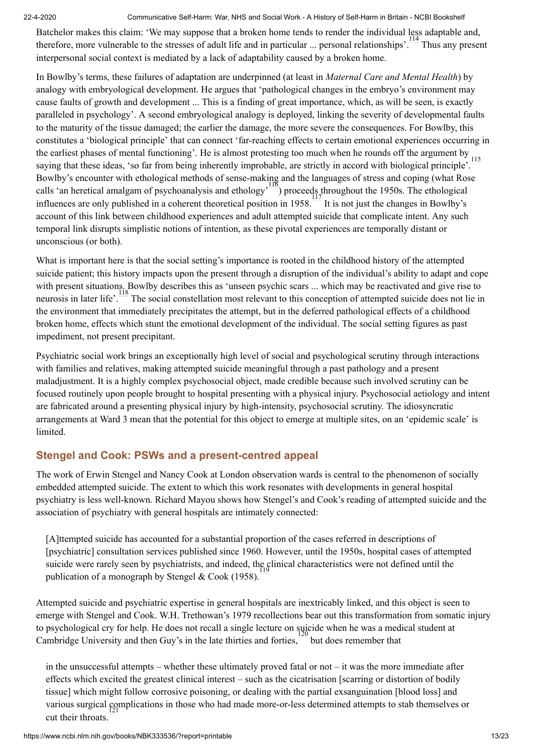Batchelor makes this claim: 'We may suppose that a broken home tends to render the individual less adaptable and, therefore, more vulnerable to the stresses of adult life and in particular ... personal relationships'. Thus any present interpersonal social context is mediated by a lack of adaptability caused by a broken home.

In Bowlby's terms, these failures of adaptation are underpinned (at least in *Maternal Care and Mental Health*) by analogy with embryological development. He argues that 'pathological changes in the embryo's environment may cause faults of growth and development ... This is a finding of great importance, which, as will be seen, is exactly paralleled in psychology'. A second embryological analogy is deployed, linking the severity of developmental faults to the maturity of the tissue damaged; the earlier the damage, the more severe the consequences. For Bowlby, this constitutes a 'biological principle' that can connect 'far-reaching effects to certain emotional experiences occurring in the earliest phases of mental functioning'. He is almost protesting too much when he rounds off the argument by saying that these ideas, 'so far from being inherently improbable, are strictly in accord with biological principle'.<sup>115</sup> Bowlby's encounter with ethological methods of sense-making and the languages of stress and coping (what Rose 116 calls 'an heretical amalgam of psychoanalysis and ethology'  $\sim$ ) proceeds throughout the 1950s. The ethological influences are only published in a coherent theoretical position in  $1958$ . It is not just the changes in Bowlby's account of this link between childhood experiences and adult attempted suicide that complicate intent. Any such temporal link disrupts simplistic notions of intention, as these pivotal experiences are temporally distant or unconscious (or both).

What is important here is that the social setting's importance is rooted in the childhood history of the attempted suicide patient; this history impacts upon the present through a disruption of the individual's ability to adapt and cope with present situations. Bowlby describes this as 'unseen psychic scars ... which may be reactivated and give rise to neurosis in later life'.<sup>116</sup> The social constellation most relevant to this conception of attempted suicide does not lie in the environment that immediately precipitates the attempt, but in the deferred pathological effects of a childhood broken home, effects which stunt the emotional development of the individual. The social setting figures as past impediment, not present precipitant.

Psychiatric social work brings an exceptionally high level of social and psychological scrutiny through interactions with families and relatives, making attempted suicide meaningful through a past pathology and a present maladjustment. It is a highly complex psychosocial object, made credible because such involved scrutiny can be focused routinely upon people brought to hospital presenting with a physical injury. Psychosocial aetiology and intent are fabricated around a presenting physical injury by high-intensity, psychosocial scrutiny. The idiosyncratic arrangements at Ward 3 mean that the potential for this object to emerge at multiple sites, on an 'epidemic scale' is limited.

# **Stengel and Cook: PSWs and a present-centred appeal**

The work of Erwin Stengel and Nancy Cook at London observation wards is central to the phenomenon of socially embedded attempted suicide. The extent to which this work resonates with developments in general hospital psychiatry is less well-known. Richard Mayou shows how Stengel's and Cook's reading of attempted suicide and the association of psychiatry with general hospitals are intimately connected:

[A]ttempted suicide has accounted for a substantial proportion of the cases referred in descriptions of [psychiatric] consultation services published since 1960. However, until the 1950s, hospital cases of attempted suicide were rarely seen by psychiatrists, and indeed, the clinical characteristics were not defined until the publication of a monograph by Stengel & Cook (1958).

Attempted suicide and psychiatric expertise in general hospitals are inextricably linked, and this object is seen to emerge with Stengel and Cook. W.H. Trethowan's 1979 recollections bear out this transformation from somatic injury to psychological cry for help. He does not recall a single lecture on suicide when he was a medical student at 120 Cambridge University and then Guy's in the late thirties and forties,  $\frac{1}{\sqrt{2}}$  but does remember that

in the unsuccessful attempts – whether these ultimately proved fatal or not – it was the more immediate after effects which excited the greatest clinical interest – such as the cicatrisation [scarring or distortion of bodily tissue] which might follow corrosive poisoning, or dealing with the partial exsanguination [blood loss] and various surgical complications in those who had made more-or-less determined attempts to stab themselves or cut their throats.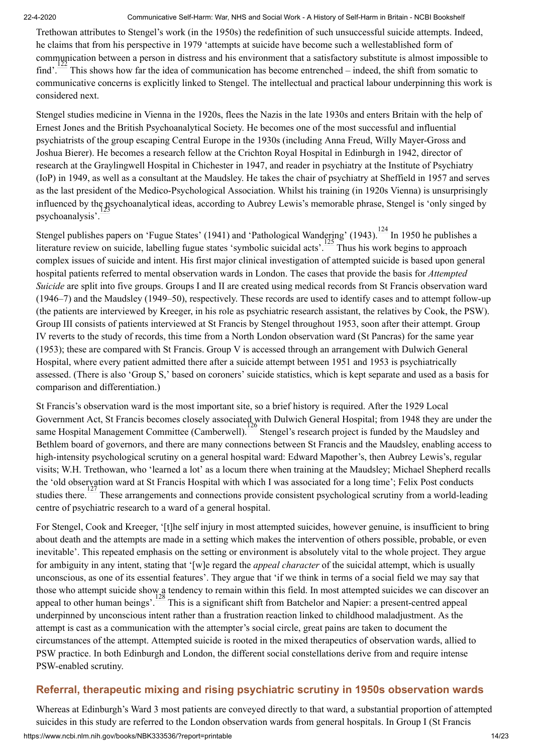Trethowan attributes to Stengel's work (in the 1950s) the redefinition of such unsuccessful suicide attempts. Indeed, he claims that from his perspective in 1979 'attempts at suicide have become such a wellestablished form of communication between a person in distress and his environment that a satisfactory substitute is almost impossible to  $\ddot{\text{}}$ . This shows how far the idea of communication has become entrenched – indeed, the shift from somatic to communicative concerns is explicitly linked to Stengel. The intellectual and practical labour underpinning this work is considered next. find'. $\overline{1}$ 

Stengel studies medicine in Vienna in the 1920s, flees the Nazis in the late 1930s and enters Britain with the help of Ernest Jones and the British Psychoanalytical Society. He becomes one of the most successful and influential psychiatrists of the group escaping Central Europe in the 1930s (including Anna Freud, Willy Mayer-Gross and Joshua Bierer). He becomes a research fellow at the Crichton Royal Hospital in Edinburgh in 1942, director of research at the Graylingwell Hospital in Chichester in 1947, and reader in psychiatry at the Institute of Psychiatry (IoP) in 1949, as well as a consultant at the Maudsley. He takes the chair of psychiatry at Sheffield in 1957 and serves as the last president of the Medico-Psychological Association. Whilst his training (in 1920s Vienna) is unsurprisingly influenced by the psychoanalytical ideas, according to Aubrey Lewis's memorable phrase, Stengel is 'only singed by 123 psychoanalysis'.

Stengel publishes papers on 'Fugue States' (1941) and 'Pathological Wandering' (1943). <sup>124</sup> In 1950 he publishes a literature review on suicide, labelling fugue states 'symbolic suicidal acts'.<sup>125-8</sup> Thus his work begins to approach complex issues of suicide and intent. His first major clinical investigation of attempted suicide is based upon general hospital patients referred to mental observation wards in London. The cases that provide the basis for *Attempted Suicide* are split into five groups. Groups I and II are created using medical records from St Francis observation ward (1946–7) and the Maudsley (1949–50), respectively. These records are used to identify cases and to attempt follow-up (the patients are interviewed by Kreeger, in his role as psychiatric research assistant, the relatives by Cook, the PSW). Group III consists of patients interviewed at St Francis by Stengel throughout 1953, soon after their attempt. Group IV reverts to the study of records, this time from a North London observation ward (St Pancras) for the same year (1953); these are compared with St Francis. Group V is accessed through an arrangement with Dulwich General Hospital, where every patient admitted there after a suicide attempt between 1951 and 1953 is psychiatrically assessed. (There is also 'Group S,' based on coroners' suicide statistics, which is kept separate and used as a basis for comparison and differentiation.)

St Francis's observation ward is the most important site, so a brief history is required. After the 1929 Local Government Act, St Francis becomes closely associated with Dulwich General Hospital; from 1948 they are under the same Hospital Management Committee (Camberwell). Stengel's research project is funded by the Maudsley and Bethlem board of governors, and there are many connections between St Francis and the Maudsley, enabling access to high-intensity psychological scrutiny on a general hospital ward: Edward Mapother's, then Aubrey Lewis's, regular visits; W.H. Trethowan, who 'learned a lot' as a locum there when training at the Maudsley; Michael Shepherd recalls the 'old observation ward at St Francis Hospital with which I was associated for a long time'; Felix Post conducts studies there.  $\frac{1}{2}$  These arrangements and connections provide consistent psychological scrutiny from a world-leading centre of psychiatric research to a ward of a general hospital.

For Stengel, Cook and Kreeger, '[t]he self injury in most attempted suicides, however genuine, is insufficient to bring about death and the attempts are made in a setting which makes the intervention of others possible, probable, or even inevitable'. This repeated emphasis on the setting or environment is absolutely vital to the whole project. They argue for ambiguity in any intent, stating that '[w]e regard the *appeal character* of the suicidal attempt, which is usually unconscious, as one of its essential features'. They argue that 'if we think in terms of a social field we may say that those who attempt suicide show a tendency to remain within this field. In most attempted suicides we can discover an appeal to other human beings'.<sup>126</sup> This is a significant shift from Batchelor and Napier: a present-centred appeal underpinned by unconscious intent rather than a frustration reaction linked to childhood maladjustment. As the attempt is cast as a communication with the attempter's social circle, great pains are taken to document the circumstances of the attempt. Attempted suicide is rooted in the mixed therapeutics of observation wards, allied to PSW practice. In both Edinburgh and London, the different social constellations derive from and require intense PSW-enabled scrutiny.

# **Referral, therapeutic mixing and rising psychiatric scrutiny in 1950s observation wards**

https://www.ncbi.nlm.nih.gov/books/NBK333536/?report=printable 14/23 Whereas at Edinburgh's Ward 3 most patients are conveyed directly to that ward, a substantial proportion of attempted suicides in this study are referred to the London observation wards from general hospitals. In Group I (St Francis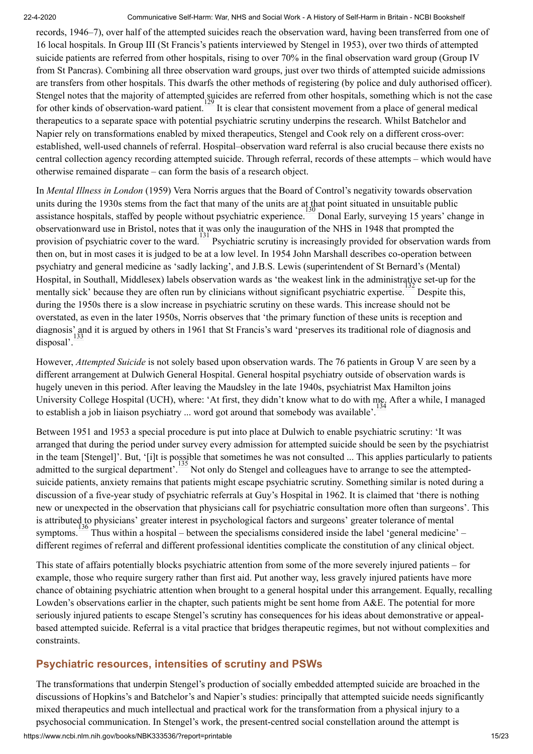records, 1946–7), over half of the attempted suicides reach the observation ward, having been transferred from one of 16 local hospitals. In Group III (St Francis's patients interviewed by Stengel in 1953), over two thirds of attempted suicide patients are referred from other hospitals, rising to over 70% in the final observation ward group (Group IV from St Pancras). Combining all three observation ward groups, just over two thirds of attempted suicide admissions are transfers from other hospitals. This dwarfs the other methods of registering (by police and duly authorised officer). Stengel notes that the majority of attempted suicides are referred from other hospitals, something which is not the case for other kinds of observation-ward patient.<sup>122</sup> It is clear that consistent movement from a place of general medical therapeutics to a separate space with potential psychiatric scrutiny underpins the research. Whilst Batchelor and Napier rely on transformations enabled by mixed therapeutics, Stengel and Cook rely on a different cross-over: established, well-used channels of referral. Hospital–observation ward referral is also crucial because there exists no central collection agency recording attempted suicide. Through referral, records of these attempts – which would have otherwise remained disparate – can form the basis of a research object.

In *Mental Illness in London* (1959) Vera Norris argues that the Board of Control's negativity towards observation units during the 1930s stems from the fact that many of the units are at that point situated in unsuitable public assistance hospitals, staffed by people without psychiatric experience. Donal Early, surveying 15 years' change in observationward use in Bristol, notes that it was only the inauguration of the NHS in 1948 that prompted the provision of psychiatric cover to the ward. Psychiatric scrutiny is increasingly provided for observation wards from then on, but in most cases it is judged to be at a low level. In 1954 John Marshall describes co-operation between psychiatry and general medicine as 'sadly lacking', and J.B.S. Lewis (superintendent of St Bernard's (Mental) Hospital, in Southall, Middlesex) labels observation wards as 'the weakest link in the administrative set-up for the mentally sick' because they are often run by clinicians without significant psychiatric expertise.  $\frac{12}{12}$  Despite this, during the 1950s there is a slow increase in psychiatric scrutiny on these wards. This increase should not be overstated, as even in the later 1950s, Norris observes that 'the primary function of these units is reception and diagnosis' and it is argued by others in 1961 that St Francis's ward 'preserves its traditional role of diagnosis and disposal'.

However, *Attempted Suicide* is not solely based upon observation wards. The 76 patients in Group V are seen by a different arrangement at Dulwich General Hospital. General hospital psychiatry outside of observation wards is hugely uneven in this period. After leaving the Maudsley in the late 1940s, psychiatrist Max Hamilton joins University College Hospital (UCH), where: 'At first, they didn't know what to do with me. After a while, I managed to establish a job in liaison psychiatry ... word got around that somebody was available'.

Between 1951 and 1953 a special procedure is put into place at Dulwich to enable psychiatric scrutiny: 'It was arranged that during the period under survey every admission for attempted suicide should be seen by the psychiatrist in the team [Stengel]'. But, '[i]t is possible that sometimes he was not consulted ... This applies particularly to patients admitted to the surgical department'. Not only do Stengel and colleagues have to arrange to see the attemptedsuicide patients, anxiety remains that patients might escape psychiatric scrutiny. Something similar is noted during a discussion of a five-year study of psychiatric referrals at Guy's Hospital in 1962. It is claimed that 'there is nothing new or unexpected in the observation that physicians call for psychiatric consultation more often than surgeons'. This is attributed to physicians' greater interest in psychological factors and surgeons' greater tolerance of mental  $\frac{136}{136}$ symptoms. Thus within a hospital – between the specialisms considered inside the label 'general medicine' – different regimes of referral and different professional identities complicate the constitution of any clinical object.

This state of affairs potentially blocks psychiatric attention from some of the more severely injured patients – for example, those who require surgery rather than first aid. Put another way, less gravely injured patients have more chance of obtaining psychiatric attention when brought to a general hospital under this arrangement. Equally, recalling Lowden's observations earlier in the chapter, such patients might be sent home from A&E. The potential for more seriously injured patients to escape Stengel's scrutiny has consequences for his ideas about demonstrative or appealbased attempted suicide. Referral is a vital practice that bridges therapeutic regimes, but not without complexities and constraints.

# **Psychiatric resources, intensities of scrutiny and PSWs**

The transformations that underpin Stengel's production of socially embedded attempted suicide are broached in the discussions of Hopkins's and Batchelor's and Napier's studies: principally that attempted suicide needs significantly mixed therapeutics and much intellectual and practical work for the transformation from a physical injury to a psychosocial communication. In Stengel's work, the present-centred social constellation around the attempt is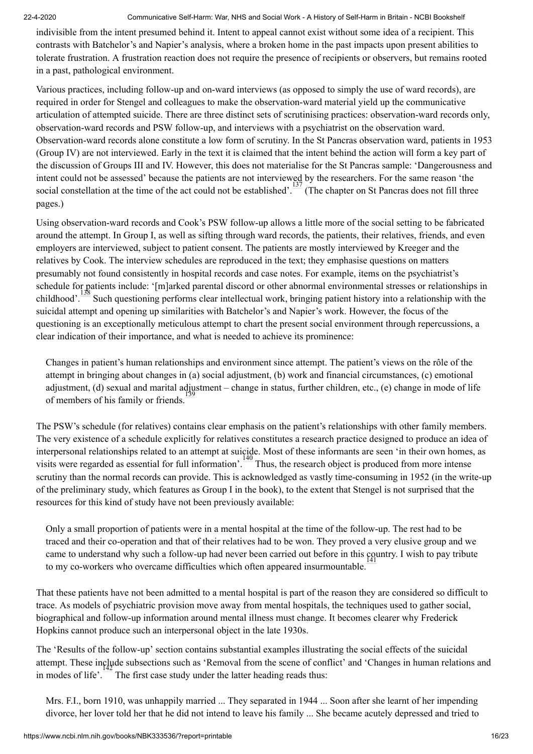indivisible from the intent presumed behind it. Intent to appeal cannot exist without some idea of a recipient. This contrasts with Batchelor's and Napier's analysis, where a broken home in the past impacts upon present abilities to tolerate frustration. A frustration reaction does not require the presence of recipients or observers, but remains rooted in a past, pathological environment.

Various practices, including follow-up and on-ward interviews (as opposed to simply the use of ward records), are required in order for Stengel and colleagues to make the observation-ward material yield up the communicative articulation of attempted suicide. There are three distinct sets of scrutinising practices: observation-ward records only, observation-ward records and PSW follow-up, and interviews with a psychiatrist on the observation ward. Observation-ward records alone constitute a low form of scrutiny. In the St Pancras observation ward, patients in 1953 (Group IV) are not interviewed. Early in the text it is claimed that the intent behind the action will form a key part of the discussion of Groups III and IV. However, this does not materialise for the St Pancras sample: 'Dangerousness and intent could not be assessed' because the patients are not interviewed by the researchers. For the same reason 'the social constellation at the time of the act could not be established'. $\frac{157}{100}$  (The chapter on St Pancras does not fill three pages.)

Using observation-ward records and Cook's PSW follow-up allows a little more of the social setting to be fabricated around the attempt. In Group I, as well as sifting through ward records, the patients, their relatives, friends, and even employers are interviewed, subject to patient consent. The patients are mostly interviewed by Kreeger and the relatives by Cook. The interview schedules are reproduced in the text; they emphasise questions on matters presumably not found consistently in hospital records and case notes. For example, items on the psychiatrist's schedule for patients include: '[m]arked parental discord or other abnormal environmental stresses or relationships in childhood'. $\frac{150}{100}$  Such questioning performs clear intellectual work, bringing patient history into a relationship with the suicidal attempt and opening up similarities with Batchelor's and Napier's work. However, the focus of the questioning is an exceptionally meticulous attempt to chart the present social environment through repercussions, a clear indication of their importance, and what is needed to achieve its prominence:

Changes in patient's human relationships and environment since attempt. The patient's views on the rôle of the attempt in bringing about changes in (a) social adjustment, (b) work and financial circumstances, (c) emotional adjustment, (d) sexual and marital adjustment – change in status, further children, etc., (e) change in mode of life of members of his family or friends.

The PSW's schedule (for relatives) contains clear emphasis on the patient's relationships with other family members. The very existence of a schedule explicitly for relatives constitutes a research practice designed to produce an idea of interpersonal relationships related to an attempt at suicide. Most of these informants are seen 'in their own homes, as visits were regarded as essential for full information'.<sup>140</sup> Thus, the research object is produced from more intense scrutiny than the normal records can provide. This is acknowledged as vastly time-consuming in 1952 (in the write-up of the preliminary study, which features as Group I in the book), to the extent that Stengel is not surprised that the resources for this kind of study have not been previously available:

Only a small proportion of patients were in a mental hospital at the time of the follow-up. The rest had to be traced and their co-operation and that of their relatives had to be won. They proved a very elusive group and we came to understand why such a follow-up had never been carried out before in this country. I wish to pay tribute to my co-workers who overcame difficulties which often appeared insurmountable.

That these patients have not been admitted to a mental hospital is part of the reason they are considered so difficult to trace. As models of psychiatric provision move away from mental hospitals, the techniques used to gather social, biographical and follow-up information around mental illness must change. It becomes clearer why Frederick Hopkins cannot produce such an interpersonal object in the late 1930s.

The 'Results of the follow-up' section contains substantial examples illustrating the social effects of the suicidal attempt. These include subsections such as 'Removal from the scene of conflict' and 'Changes in human relations and in modes of life'. The first case study under the latter heading reads thus:

Mrs. F.I., born 1910, was unhappily married ... They separated in 1944 ... Soon after she learnt of her impending divorce, her lover told her that he did not intend to leave his family ... She became acutely depressed and tried to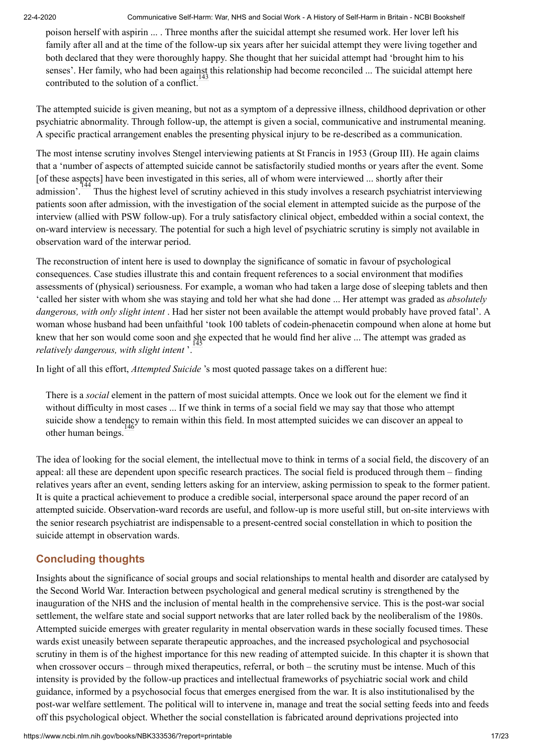poison herself with aspirin ... . Three months after the suicidal attempt she resumed work. Her lover left his family after all and at the time of the follow-up six years after her suicidal attempt they were living together and both declared that they were thoroughly happy. She thought that her suicidal attempt had 'brought him to his senses'. Her family, who had been against this relationship had become reconciled ... The suicidal attempt here contributed to the solution of a conflict.

The attempted suicide is given meaning, but not as a symptom of a depressive illness, childhood deprivation or other psychiatric abnormality. Through follow-up, the attempt is given a social, communicative and instrumental meaning. A specific practical arrangement enables the presenting physical injury to be re-described as a communication.

The most intense scrutiny involves Stengel interviewing patients at St Francis in 1953 (Group III). He again claims that a 'number of aspects of attempted suicide cannot be satisfactorily studied months or years after the event. Some [of these aspects] have been investigated in this series, all of whom were interviewed ... shortly after their admission'.  $\overline{1}$  Thus the highest level of scrutiny achieved in this study involves a research psychiatrist interviewing patients soon after admission, with the investigation of the social element in attempted suicide as the purpose of the interview (allied with PSW follow-up). For a truly satisfactory clinical object, embedded within a social context, the on-ward interview is necessary. The potential for such a high level of psychiatric scrutiny is simply not available in observation ward of the interwar period.

The reconstruction of intent here is used to downplay the significance of somatic in favour of psychological consequences. Case studies illustrate this and contain frequent references to a social environment that modifies assessments of (physical) seriousness. For example, a woman who had taken a large dose of sleeping tablets and then 'called her sister with whom she was staying and told her what she had done ... Her attempt was graded as *absolutely dangerous, with only slight intent* . Had her sister not been available the attempt would probably have proved fatal'. A woman whose husband had been unfaithful 'took 100 tablets of codein-phenacetin compound when alone at home but knew that her son would come soon and she expected that he would find her alive ... The attempt was graded as *relatively dangerous, with slight intent* '.

In light of all this effort, *Attempted Suicide* 's most quoted passage takes on a different hue:

There is a *social* element in the pattern of most suicidal attempts. Once we look out for the element we find it without difficulty in most cases ... If we think in terms of a social field we may say that those who attempt suicide show a tendency to remain within this field. In most attempted suicides we can discover an appeal to other human beings.

The idea of looking for the social element, the intellectual move to think in terms of a social field, the discovery of an appeal: all these are dependent upon specific research practices. The social field is produced through them – finding relatives years after an event, sending letters asking for an interview, asking permission to speak to the former patient. It is quite a practical achievement to produce a credible social, interpersonal space around the paper record of an attempted suicide. Observation-ward records are useful, and follow-up is more useful still, but on-site interviews with the senior research psychiatrist are indispensable to a present-centred social constellation in which to position the suicide attempt in observation wards.

# **Concluding thoughts**

Insights about the significance of social groups and social relationships to mental health and disorder are catalysed by the Second World War. Interaction between psychological and general medical scrutiny is strengthened by the inauguration of the NHS and the inclusion of mental health in the comprehensive service. This is the post-war social settlement, the welfare state and social support networks that are later rolled back by the neoliberalism of the 1980s. Attempted suicide emerges with greater regularity in mental observation wards in these socially focused times. These wards exist uneasily between separate therapeutic approaches, and the increased psychological and psychosocial scrutiny in them is of the highest importance for this new reading of attempted suicide. In this chapter it is shown that when crossover occurs – through mixed therapeutics, referral, or both – the scrutiny must be intense. Much of this intensity is provided by the follow-up practices and intellectual frameworks of psychiatric social work and child guidance, informed by a psychosocial focus that emerges energised from the war. It is also institutionalised by the post-war welfare settlement. The political will to intervene in, manage and treat the social setting feeds into and feeds off this psychological object. Whether the social constellation is fabricated around deprivations projected into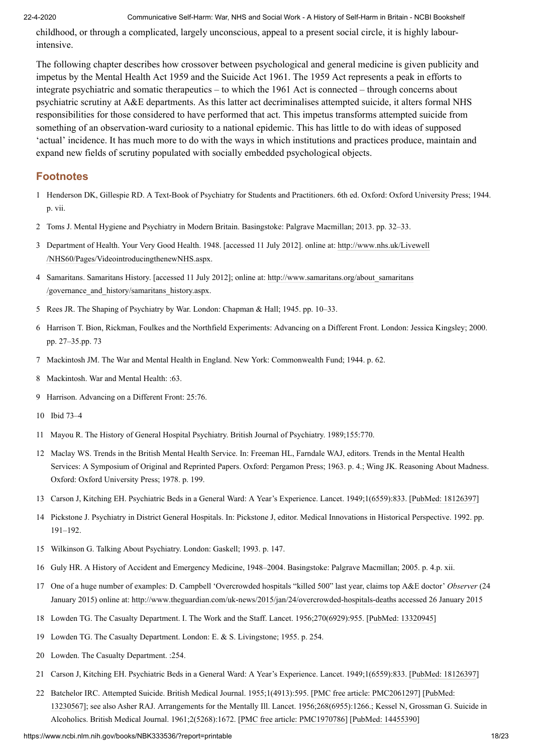childhood, or through a complicated, largely unconscious, appeal to a present social circle, it is highly labourintensive.

The following chapter describes how crossover between psychological and general medicine is given publicity and impetus by the Mental Health Act 1959 and the Suicide Act 1961. The 1959 Act represents a peak in efforts to integrate psychiatric and somatic therapeutics – to which the 1961 Act is connected – through concerns about psychiatric scrutiny at A&E departments. As this latter act decriminalises attempted suicide, it alters formal NHS responsibilities for those considered to have performed that act. This impetus transforms attempted suicide from something of an observation-ward curiosity to a national epidemic. This has little to do with ideas of supposed 'actual' incidence. It has much more to do with the ways in which institutions and practices produce, maintain and expand new fields of scrutiny populated with socially embedded psychological objects.

## **Footnotes**

- 1 Henderson DK, Gillespie RD. A Text-Book of Psychiatry for Students and Practitioners. 6th ed. Oxford: Oxford University Press; 1944. p. vii.
- 2 Toms J. Mental Hygiene and Psychiatry in Modern Britain. Basingstoke: Palgrave Macmillan; 2013. pp. 32–33.
- 3 Department of Health. Your Very Good Health. 1948. [accessed 11 July 2012]. online at: http://www.nhs.uk/Livewell [/NHS60/Pages/VideointroducingthenewNHS.aspx.](http://www.nhs.uk/Livewell/NHS60/Pages/VideointroducingthenewNHS.aspx)
- 4 Samaritans. Samaritans History. [accessed 11 July 2012]; online at: http://www.samaritans.org/about\_samaritans [/governance\\_and\\_history/samaritans\\_history.aspx.](http://www.samaritans.org/about_samaritans/governance_and_history/samaritans_history.aspx)
- 5 Rees JR. The Shaping of Psychiatry by War. London: Chapman & Hall; 1945. pp. 10–33.
- 6 Harrison T. Bion, Rickman, Foulkes and the Northfield Experiments: Advancing on a Different Front. London: Jessica Kingsley; 2000. pp. 27–35.pp. 73
- 7 Mackintosh JM. The War and Mental Health in England. New York: Commonwealth Fund; 1944. p. 62.
- 8 Mackintosh. War and Mental Health: :63.
- 9 Harrison. Advancing on a Different Front: 25:76.
- 10 Ibid 73–4
- 11 Mayou R. The History of General Hospital Psychiatry. British Journal of Psychiatry. 1989;155:770.
- 12 Maclay WS. Trends in the British Mental Health Service. In: Freeman HL, Farndale WAJ, editors. Trends in the Mental Health Services: A Symposium of Original and Reprinted Papers. Oxford: Pergamon Press; 1963. p. 4.; Wing JK. Reasoning About Madness. Oxford: Oxford University Press; 1978. p. 199.
- 13 Carson J, Kitching EH. Psychiatric Beds in a General Ward: A Year's Experience. Lancet. 1949;1(6559):833. [PubMed: [18126397](https://www.ncbi.nlm.nih.gov/pubmed/18126397)]
- 14 Pickstone J. Psychiatry in District General Hospitals. In: Pickstone J, editor. Medical Innovations in Historical Perspective. 1992. pp. 191–192.
- 15 Wilkinson G. Talking About Psychiatry. London: Gaskell; 1993. p. 147.
- 16 Guly HR. A History of Accident and Emergency Medicine, 1948–2004. Basingstoke: Palgrave Macmillan; 2005. p. 4.p. xii.
- 17 One of a huge number of examples: D. Campbell 'Overcrowded hospitals "killed 500" last year, claims top A&E doctor' *Observer* (24 January 2015) online at: <http://www.theguardian.com/uk-news/2015/jan/24/overcrowded-hospitals-deaths> accessed 26 January 2015
- 18 Lowden TG. The Casualty Department. I. The Work and the Staff. Lancet. 1956;270(6929):955. [PubMed: [13320945](https://www.ncbi.nlm.nih.gov/pubmed/13320945)]
- 19 Lowden TG. The Casualty Department. London: E. & S. Livingstone; 1955. p. 254.
- 20 Lowden. The Casualty Department. :254.
- 21 Carson J, Kitching EH. Psychiatric Beds in a General Ward: A Year's Experience. Lancet. 1949;1(6559):833. [PubMed: [18126397](https://www.ncbi.nlm.nih.gov/pubmed/18126397)]
- 22 Batchelor IRC. Attempted Suicide. British Medical Journal. 1955;1(4913):595. [PMC free article: [PMC2061297\]](https://www.ncbi.nlm.nih.gov/pmc/articles/PMC2061297/) [PubMed: 13230567]; see also Asher RAJ. Arrangements for the Mentally Ill. Lancet. [1956;268\(6955\):1266.;](https://www.ncbi.nlm.nih.gov/pubmed/13230567) Kessel N, Grossman G. Suicide in Alcoholics. British Medical Journal. 1961;2(5268):1672. [PMC free article: [PMC1970786](https://www.ncbi.nlm.nih.gov/pmc/articles/PMC1970786/)] [PubMed: [14455390\]](https://www.ncbi.nlm.nih.gov/pubmed/14455390)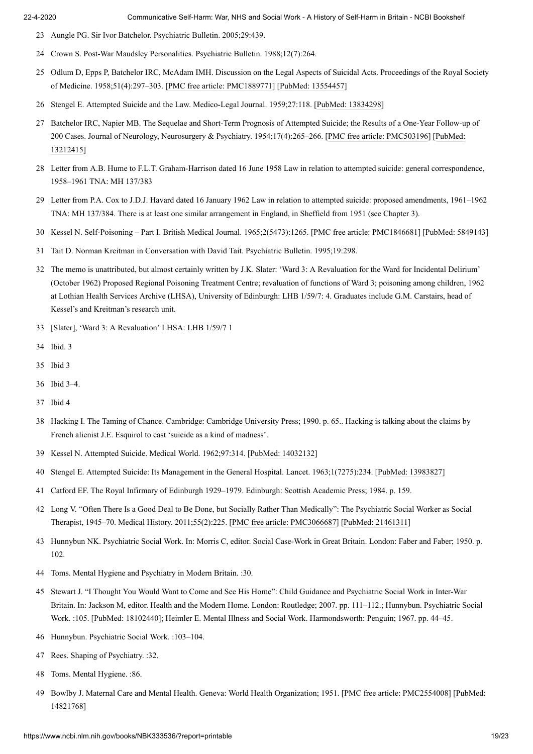- 23 Aungle PG. Sir Ivor Batchelor. Psychiatric Bulletin. 2005;29:439.
- 24 Crown S. Post-War Maudsley Personalities. Psychiatric Bulletin. 1988;12(7):264.
- 25 Odlum D, Epps P, Batchelor IRC, McAdam IMH. Discussion on the Legal Aspects of Suicidal Acts. Proceedings of the Royal Society of Medicine. 1958;51(4):297–303. [PMC free article: [PMC1889771](https://www.ncbi.nlm.nih.gov/pmc/articles/PMC1889771/)] [PubMed: [13554457\]](https://www.ncbi.nlm.nih.gov/pubmed/13554457)
- 26 Stengel E. Attempted Suicide and the Law. Medico-Legal Journal. 1959;27:118. [PubMed: [13834298\]](https://www.ncbi.nlm.nih.gov/pubmed/13834298)
- 27 Batchelor IRC, Napier MB. The Sequelae and Short-Term Prognosis of Attempted Suicide; the Results of a One-Year Follow-up of 200 Cases. Journal of Neurology, Neurosurgery & Psychiatry. [1954;17\(4\):265–266.](https://www.ncbi.nlm.nih.gov/pubmed/13212415) [PMC free article: [PMC503196](https://www.ncbi.nlm.nih.gov/pmc/articles/PMC503196/)] [PubMed: 13212415]
- 28 Letter from A.B. Hume to F.L.T. Graham-Harrison dated 16 June 1958 Law in relation to attempted suicide: general correspondence, 1958–1961 TNA: MH 137/383
- 29 Letter from P.A. Cox to J.D.J. Havard dated 16 January 1962 Law in relation to attempted suicide: proposed amendments, 1961–1962 TNA: MH 137/384. There is at least one similar arrangement in England, in Sheffield from 1951 (see Chapter 3).
- 30 Kessel N. Self-Poisoning Part I. British Medical Journal. 1965;2(5473):1265. [PMC free article: [PMC1846681\]](https://www.ncbi.nlm.nih.gov/pmc/articles/PMC1846681/) [\[PubMed:](https://www.ncbi.nlm.nih.gov/pubmed/5849143) 5849143]
- 31 Tait D. Norman Kreitman in Conversation with David Tait. Psychiatric Bulletin. 1995;19:298.
- 32 The memo is unattributed, but almost certainly written by J.K. Slater: 'Ward 3: A Revaluation for the Ward for Incidental Delirium' (October 1962) Proposed Regional Poisoning Treatment Centre; revaluation of functions of Ward 3; poisoning among children, 1962 at Lothian Health Services Archive (LHSA), University of Edinburgh: LHB 1/59/7: 4. Graduates include G.M. Carstairs, head of Kessel's and Kreitman's research unit.
- 33 [Slater], 'Ward 3: A Revaluation' LHSA: LHB 1/59/7 1
- 34 Ibid. 3
- 35 Ibid 3
- 36 Ibid 3–4.
- 37 Ibid 4
- 38 Hacking I. The Taming of Chance. Cambridge: Cambridge University Press; 1990. p. 65.. Hacking is talking about the claims by French alienist J.E. Esquirol to cast 'suicide as a kind of madness'.
- 39 Kessel N. Attempted Suicide. Medical World. 1962;97:314. [PubMed: [14032132\]](https://www.ncbi.nlm.nih.gov/pubmed/14032132)
- 40 Stengel E. Attempted Suicide: Its Management in the General Hospital. Lancet. 1963;1(7275):234. [PubMed: [13983827](https://www.ncbi.nlm.nih.gov/pubmed/13983827)]
- 41 Catford EF. The Royal Infirmary of Edinburgh 1929–1979. Edinburgh: Scottish Academic Press; 1984. p. 159.
- 42 Long V. "Often There Is a Good Deal to Be Done, but Socially Rather Than Medically": The Psychiatric Social Worker as Social Therapist, 1945–70. Medical History. 2011;55(2):225. [PMC free article: [PMC3066687\]](https://www.ncbi.nlm.nih.gov/pmc/articles/PMC3066687/) [PubMed: [21461311\]](https://www.ncbi.nlm.nih.gov/pubmed/21461311)
- 43 Hunnybun NK. Psychiatric Social Work. In: Morris C, editor. Social Case-Work in Great Britain. London: Faber and Faber; 1950. p. 102.
- 44 Toms. Mental Hygiene and Psychiatry in Modern Britain. :30.
- 45 Stewart J. "I Thought You Would Want to Come and See His Home": Child Guidance and Psychiatric Social Work in Inter-War Britain. In: Jackson M, editor. Health and the Modern Home. London: Routledge; 2007. pp. 111–112.; Hunnybun. Psychiatric Social Work. :105. [PubMed: [18102440](https://www.ncbi.nlm.nih.gov/pubmed/18102440)]; Heimler E. Mental Illness and Social Work. Harmondsworth: Penguin; 1967. pp. 44–45.
- 46 Hunnybun. Psychiatric Social Work. :103–104.
- 47 Rees. Shaping of Psychiatry. :32.
- 48 Toms. Mental Hygiene. :86.
- 49 Bowlby J. Maternal Care and Mental Health. Geneva: World Health Organization; 1951. [PMC free article: [PMC255400](https://www.ncbi.nlm.nih.gov/pmc/articles/PMC2554008/)[8\]](https://www.ncbi.nlm.nih.gov/pubmed/14821768) [PubMed: 14821768]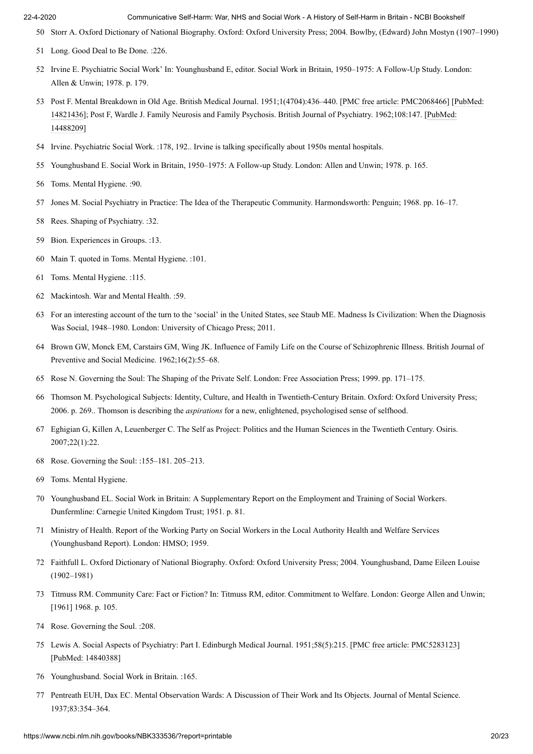- 50 Storr A. Oxford Dictionary of National Biography. Oxford: Oxford University Press; 2004. Bowlby, (Edward) John Mostyn (1907–1990)
- 51 Long. Good Deal to Be Done. :226.
- 52 Irvine E. Psychiatric Social Work' In: Younghusband E, editor. Social Work in Britain, 1950–1975: A Follow-Up Study. London: Allen & Unwin; 1978. p. 179.
- 53 Post F. Mental Breakdown in Old Age. British Medical Journal. [1951;1\(4704\):436–440.](https://www.ncbi.nlm.nih.gov/pubmed/14821436) [PMC free article: [PMC2068466](https://www.ncbi.nlm.nih.gov/pmc/articles/PMC2068466/)] [PubMed: 14821436]; Post F, Wardle J. Family Neurosis and Family Psychosis. British Journal of Psychiatry. [1962;108:147.](https://www.ncbi.nlm.nih.gov/pubmed/14488209) [PubMed: 14488209]
- 54 Irvine. Psychiatric Social Work. :178, 192.. Irvine is talking specifically about 1950s mental hospitals.
- 55 Younghusband E. Social Work in Britain, 1950–1975: A Follow-up Study. London: Allen and Unwin; 1978. p. 165.
- 56 Toms. Mental Hygiene. :90.
- 57 Jones M. Social Psychiatry in Practice: The Idea of the Therapeutic Community. Harmondsworth: Penguin; 1968. pp. 16–17.
- 58 Rees. Shaping of Psychiatry. :32.
- 59 Bion. Experiences in Groups. :13.
- 60 Main T. quoted in Toms. Mental Hygiene. :101.
- 61 Toms. Mental Hygiene. :115.
- 62 Mackintosh. War and Mental Health. :59.
- 63 For an interesting account of the turn to the 'social' in the United States, see Staub ME. Madness Is Civilization: When the Diagnosis Was Social, 1948–1980. London: University of Chicago Press; 2011.
- 64 Brown GW, Monck EM, Carstairs GM, Wing JK. Influence of Family Life on the Course of Schizophrenic Illness. British Journal of Preventive and Social Medicine. 1962;16(2):55–68.
- 65 Rose N. Governing the Soul: The Shaping of the Private Self. London: Free Association Press; 1999. pp. 171–175.
- 66 Thomson M. Psychological Subjects: Identity, Culture, and Health in Twentieth-Century Britain. Oxford: Oxford University Press; 2006. p. 269.. Thomson is describing the *aspirations* for a new, enlightened, psychologised sense of selfhood.
- 67 Eghigian G, Killen A, Leuenberger C. The Self as Project: Politics and the Human Sciences in the Twentieth Century. Osiris. 2007;22(1):22.
- 68 Rose. Governing the Soul: :155–181. 205–213.
- 69 Toms. Mental Hygiene.
- 70 Younghusband EL. Social Work in Britain: A Supplementary Report on the Employment and Training of Social Workers. Dunfermline: Carnegie United Kingdom Trust; 1951. p. 81.
- 71 Ministry of Health. Report of the Working Party on Social Workers in the Local Authority Health and Welfare Services (Younghusband Report). London: HMSO; 1959.
- 72 Faithfull L. Oxford Dictionary of National Biography. Oxford: Oxford University Press; 2004. Younghusband, Dame Eileen Louise (1902–1981)
- 73 Titmuss RM. Community Care: Fact or Fiction? In: Titmuss RM, editor. Commitment to Welfare. London: George Allen and Unwin; [1961] 1968. p. 105.
- 74 Rose. Governing the Soul. :208.
- 75 Lewis A. Social Aspects of Psychiatry: Part I. Edinburgh Medical Journal. 1951;58(5):215. [PMC free article: [PMC5283123\]](https://www.ncbi.nlm.nih.gov/pmc/articles/PMC5283123/) [PubMed: [14840388\]](https://www.ncbi.nlm.nih.gov/pubmed/14840388)
- 76 Younghusband. Social Work in Britain. :165.
- 77 Pentreath EUH, Dax EC. Mental Observation Wards: A Discussion of Their Work and Its Objects. Journal of Mental Science. 1937;83:354–364.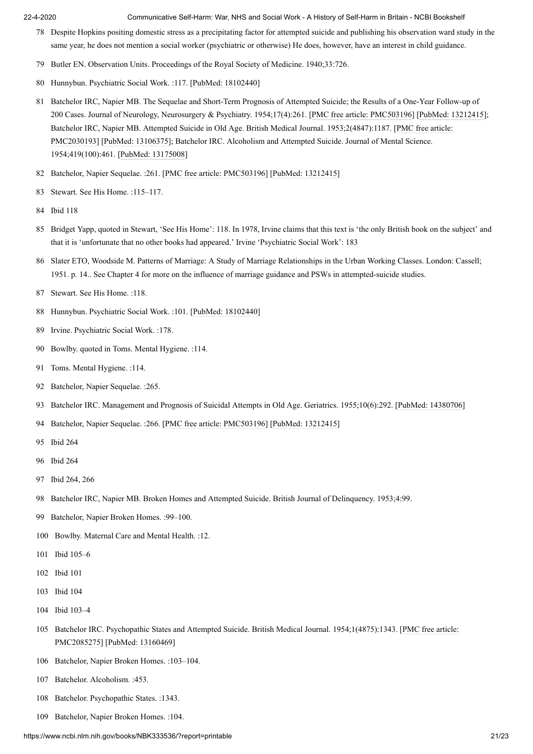- 78 Despite Hopkins positing domestic stress as a precipitating factor for attempted suicide and publishing his observation ward study in the same year, he does not mention a social worker (psychiatric or otherwise) He does, however, have an interest in child guidance.
- 79 Butler EN. Observation Units. Proceedings of the Royal Society of Medicine. 1940;33:726.
- 80 Hunnybun. Psychiatric Social Work. :117. [PubMed: [18102440](https://www.ncbi.nlm.nih.gov/pubmed/18102440)]
- 81 Batchelor IRC, Napier MB. The Sequelae and Short-Term Prognosis of Attempted Suicide; the Results of a One-Year Follow-up of 200 Cases. Journal of Neurology, Neurosurgery & Psychiatry. 1954;17(4):261. [PMC free article: [PMC503196](https://www.ncbi.nlm.nih.gov/pmc/articles/PMC503196/)] [PubMed: [13212415\]](https://www.ncbi.nlm.nih.gov/pubmed/13212415); Batchelor IRC, Napier MB. Attempted Suicide in Old Age. British Medical Journal. [1953;2\(4847\):1187.](https://www.ncbi.nlm.nih.gov/pmc/articles/PMC2030193/) [PMC free article: PMC2030193] [PubMed: [13106375](https://www.ncbi.nlm.nih.gov/pubmed/13106375)]; Batchelor IRC. Alcoholism and Attempted Suicide. Journal of Mental Science. 1954;419(100):461. [PubMed: [13175008\]](https://www.ncbi.nlm.nih.gov/pubmed/13175008)
- 82 Batchelor, Napier Sequelae. :261. [PMC free article: [PMC503196\]](https://www.ncbi.nlm.nih.gov/pmc/articles/PMC503196/) [PubMed: [13212415\]](https://www.ncbi.nlm.nih.gov/pubmed/13212415)
- 83 Stewart. See His Home. :115–117.
- 84 Ibid 118
- 85 Bridget Yapp, quoted in Stewart, 'See His Home': 118. In 1978, Irvine claims that this text is 'the only British book on the subject' and that it is 'unfortunate that no other books had appeared.' Irvine 'Psychiatric Social Work': 183
- 86 Slater ETO, Woodside M. Patterns of Marriage: A Study of Marriage Relationships in the Urban Working Classes. London: Cassell; 1951. p. 14.. See Chapter 4 for more on the influence of marriage guidance and PSWs in attempted-suicide studies.
- 87 Stewart. See His Home. :118.
- 88 Hunnybun. Psychiatric Social Work. :101. [PubMed: [18102440\]](https://www.ncbi.nlm.nih.gov/pubmed/18102440)
- 89 Irvine. Psychiatric Social Work. :178.
- 90 Bowlby. quoted in Toms. Mental Hygiene. :114.
- 91 Toms. Mental Hygiene. :114.
- 92 Batchelor, Napier Sequelae. :265.
- 93 Batchelor IRC. Management and Prognosis of Suicidal Attempts in Old Age. Geriatrics. 1955;10(6):292. [PubMed: [14380706\]](https://www.ncbi.nlm.nih.gov/pubmed/14380706)
- 94 Batchelor, Napier Sequelae. :266. [PMC free article: [PMC503196\]](https://www.ncbi.nlm.nih.gov/pmc/articles/PMC503196/) [PubMed: [13212415\]](https://www.ncbi.nlm.nih.gov/pubmed/13212415)
- 95 Ibid 264
- 96 Ibid 264
- 97 Ibid 264, 266
- 98 Batchelor IRC, Napier MB. Broken Homes and Attempted Suicide. British Journal of Delinquency. 1953;4:99.
- 99 Batchelor, Napier Broken Homes. :99–100.
- 100 Bowlby. Maternal Care and Mental Health. :12.
- 101 Ibid 105–6
- 102 Ibid 101
- 103 Ibid 104
- 104 Ibid 103–4
- 105 Batchelor IRC. Psychopathic States and Attempted Suicide. British Medical Journal. [1954;1\(4875\):1343.](https://www.ncbi.nlm.nih.gov/pmc/articles/PMC2085275/) [PMC free article: PMC2085275] [PubMed: [13160469](https://www.ncbi.nlm.nih.gov/pubmed/13160469)]
- 106 Batchelor, Napier Broken Homes. :103–104.
- 107 Batchelor. Alcoholism. :453.
- 108 Batchelor. Psychopathic States. :1343.
- 109 Batchelor, Napier Broken Homes. :104.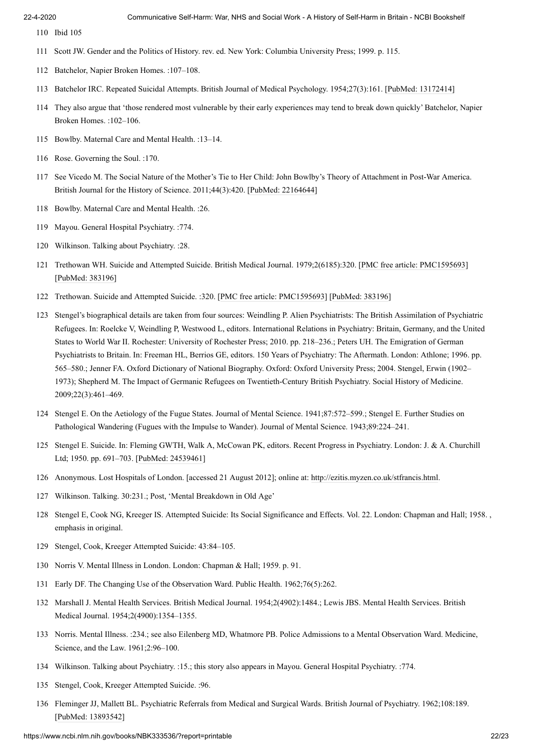Ibid 105

- Scott JW. Gender and the Politics of History. rev. ed. New York: Columbia University Press; 1999. p. 115.
- Batchelor, Napier Broken Homes. :107–108.
- Batchelor IRC. Repeated Suicidal Attempts. British Journal of Medical Psychology. 1954;27(3):161. [PubMed: [13172414](https://www.ncbi.nlm.nih.gov/pubmed/13172414)]
- They also argue that 'those rendered most vulnerable by their early experiences may tend to break down quickly' Batchelor, Napier Broken Homes. :102–106.
- Bowlby. Maternal Care and Mental Health. :13–14.
- Rose. Governing the Soul. :170.
- See Vicedo M. The Social Nature of the Mother's Tie to Her Child: John Bowlby's Theory of Attachment in Post-War America. British Journal for the History of Science. 2011;44(3):420. [PubMed: [22164644](https://www.ncbi.nlm.nih.gov/pubmed/22164644)]
- Bowlby. Maternal Care and Mental Health. :26.
- Mayou. General Hospital Psychiatry. :774.
- Wilkinson. Talking about Psychiatry. :28.
- Trethowan WH. Suicide and Attempted Suicide. British Medical Journal. 1979;2(6185):320. [PMC free article: [PMC1595693](https://www.ncbi.nlm.nih.gov/pmc/articles/PMC1595693/)] [[PubMed:](https://www.ncbi.nlm.nih.gov/pubmed/383196) 383196]
- Trethowan. Suicide and Attempted Suicide. :320. [PMC free article: [PMC1595693\]](https://www.ncbi.nlm.nih.gov/pmc/articles/PMC1595693/) [[PubMed:](https://www.ncbi.nlm.nih.gov/pubmed/383196) 383196]
- Stengel's biographical details are taken from four sources: Weindling P. Alien Psychiatrists: The British Assimilation of Psychiatric Refugees. In: Roelcke V, Weindling P, Westwood L, editors. International Relations in Psychiatry: Britain, Germany, and the United States to World War II. Rochester: University of Rochester Press; 2010. pp. 218–236.; Peters UH. The Emigration of German Psychiatrists to Britain. In: Freeman HL, Berrios GE, editors. 150 Years of Psychiatry: The Aftermath. London: Athlone; 1996. pp. 565–580.; Jenner FA. Oxford Dictionary of National Biography. Oxford: Oxford University Press; 2004. Stengel, Erwin (1902– 1973); Shepherd M. The Impact of Germanic Refugees on Twentieth-Century British Psychiatry. Social History of Medicine. 2009;22(3):461–469.
- Stengel E. On the Aetiology of the Fugue States. Journal of Mental Science. 1941;87:572–599.; Stengel E. Further Studies on Pathological Wandering (Fugues with the Impulse to Wander). Journal of Mental Science. 1943;89:224–241.
- Stengel E. Suicide. In: Fleming GWTH, Walk A, McCowan PK, editors. Recent Progress in Psychiatry. London: J. & A. Churchill Ltd; 1950. pp. 691–703. [PubMed: [24539461\]](https://www.ncbi.nlm.nih.gov/pubmed/24539461)
- Anonymous. Lost Hospitals of London. [accessed 21 August 2012]; online at: [http://ezitis.myzen.co.uk/stfrancis.html.](http://ezitis.myzen.co.uk/stfrancis.html)
- Wilkinson. Talking. 30:231.; Post, 'Mental Breakdown in Old Age'
- Stengel E, Cook NG, Kreeger IS. Attempted Suicide: Its Social Significance and Effects. Vol. 22. London: Chapman and Hall; 1958. , emphasis in original.
- Stengel, Cook, Kreeger Attempted Suicide: 43:84–105.
- Norris V. Mental Illness in London. London: Chapman & Hall; 1959. p. 91.
- Early DF. The Changing Use of the Observation Ward. Public Health. 1962;76(5):262.
- Marshall J. Mental Health Services. British Medical Journal. 1954;2(4902):1484.; Lewis JBS. Mental Health Services. British Medical Journal. 1954;2(4900):1354–1355.
- Norris. Mental Illness. :234.; see also Eilenberg MD, Whatmore PB. Police Admissions to a Mental Observation Ward. Medicine, Science, and the Law. 1961;2:96–100.
- Wilkinson. Talking about Psychiatry. :15.; this story also appears in Mayou. General Hospital Psychiatry. :774.
- Stengel, Cook, Kreeger Attempted Suicide. :96.
- Fleminger JJ, Mallett BL. Psychiatric Referrals from Medical and Surgical Wards. British Journal of Psychiatry. 1962;108:189. [PubMed: [13893542\]](https://www.ncbi.nlm.nih.gov/pubmed/13893542)